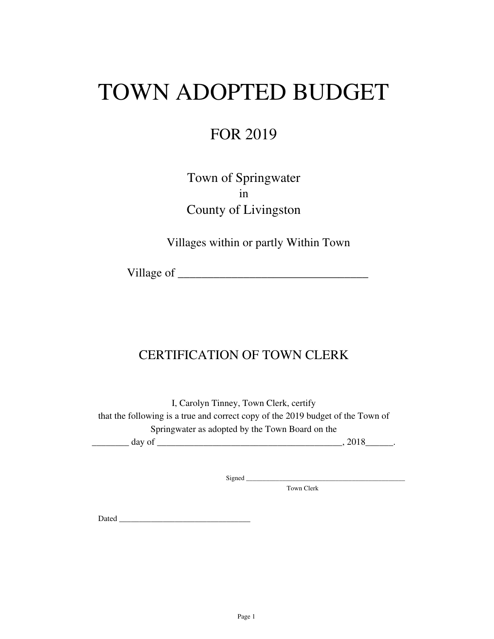# TOWN ADOPTED BUDGET

## FOR 2019

Town of Springwater in County of Livingston

Villages within or partly Within Town

Village of \_\_\_\_\_\_\_\_\_\_\_\_\_\_\_\_\_\_\_\_\_\_\_\_\_\_\_\_\_\_\_\_

### CERTIFICATION OF TOWN CLERK

I, Carolyn Tinney, Town Clerk, certify that the following is a true and correct copy of the 2019 budget of the Town of Springwater as adopted by the Town Board on the

 $\frac{day \text{ of } (x,y) = (x,y) \text{ of } (x,y) = (x,y) \text{ of } (x,y) = (x,y) \text{ of } (x,y) = (x,y) \text{ of } (x,y) = (x,y) \text{ of } (x,y) = (x,y) \text{ of } (x,y) = (x,y) \text{ of } (x,y) = (x,y) \text{ of } (x,y) = (x,y) \text{ of } (x,y) = (x,y)$ 

Signed \_\_\_\_\_\_\_\_\_\_\_\_\_\_\_\_\_\_\_\_\_\_\_\_\_\_\_\_\_\_\_\_\_\_\_\_\_\_\_\_\_\_\_\_\_\_\_\_

Town Clerk

Dated \_\_\_\_\_\_\_\_\_\_\_\_\_\_\_\_\_\_\_\_\_\_\_\_\_\_\_\_\_\_\_\_\_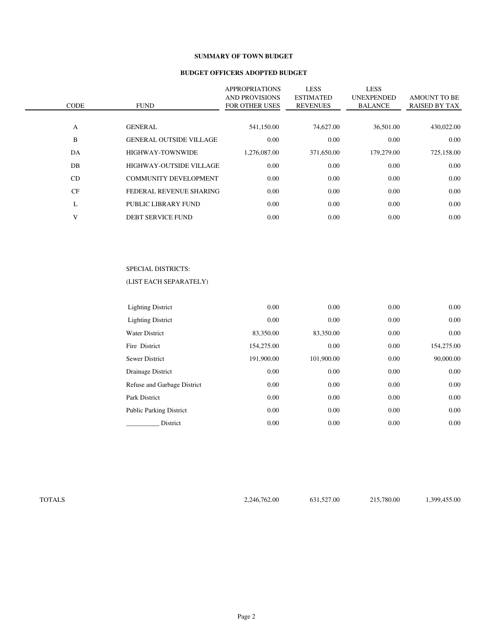#### **SUMMARY OF TOWN BUDGET**

#### **BUDGET OFFICERS ADOPTED BUDGET**

| <b>CODE</b> | <b>FUND</b>                    | <b>APPROPRIATIONS</b><br><b>AND PROVISIONS</b><br><b>FOR OTHER USES</b> | <b>LESS</b><br><b>ESTIMATED</b><br><b>REVENUES</b> | <b>LESS</b><br><b>UNEXPENDED</b><br><b>BALANCE</b> | <b>AMOUNT TO BE</b><br><b>RAISED BY TAX</b> |
|-------------|--------------------------------|-------------------------------------------------------------------------|----------------------------------------------------|----------------------------------------------------|---------------------------------------------|
|             |                                |                                                                         |                                                    |                                                    |                                             |
| A           | <b>GENERAL</b>                 | 541,150.00                                                              | 74,627.00                                          | 36,501.00                                          | 430,022.00                                  |
| B           | <b>GENERAL OUTSIDE VILLAGE</b> | 0.00                                                                    | 0.00                                               | 0.00                                               | 0.00                                        |
| DA          | <b>HIGHWAY-TOWNWIDE</b>        | 1.276.087.00                                                            | 371,650.00                                         | 179,279.00                                         | 725,158.00                                  |
| DB          | HIGHWAY-OUTSIDE VILLAGE        | 0.00                                                                    | 0.00                                               | 0.00                                               | 0.00                                        |
| CD          | <b>COMMUNITY DEVELOPMENT</b>   | 0.00                                                                    | 0.00                                               | 0.00                                               | 0.00                                        |
| CF          | FEDERAL REVENUE SHARING        | 0.00                                                                    | 0.00                                               | 0.00                                               | 0.00                                        |
| L           | PUBLIC LIBRARY FUND            | 0.00                                                                    | 0.00                                               | 0.00                                               | 0.00                                        |
| V           | <b>DEBT SERVICE FUND</b>       | 0.00                                                                    | 0.00                                               | 0.00                                               | 0.00                                        |
|             |                                |                                                                         |                                                    |                                                    |                                             |

#### SPECIAL DISTRICTS:

#### (LIST EACH SEPARATELY)

| <b>Lighting District</b>       | 0.00       | 0.00       | 0.00 | 0.00       |
|--------------------------------|------------|------------|------|------------|
| <b>Lighting District</b>       | 0.00       | 0.00       | 0.00 | 0.00       |
| <b>Water District</b>          | 83,350.00  | 83,350.00  | 0.00 | 0.00       |
| Fire District                  | 154,275.00 | 0.00       | 0.00 | 154,275.00 |
| <b>Sewer District</b>          | 191,900.00 | 101.900.00 | 0.00 | 90,000,00  |
| Drainage District              | 0.00       | 0.00       | 0.00 | 0.00       |
| Refuse and Garbage District    | 0.00       | 0.00       | 0.00 | 0.00       |
| Park District                  | 0.00       | 0.00       | 0.00 | 0.00       |
| <b>Public Parking District</b> | 0.00       | 0.00       | 0.00 | 0.00       |
| District                       | 0.00       | 0.00       | 0.00 | 0.00       |

TOTALS 2,246,762.00 631,527.00 215,780.00 1,399,455.00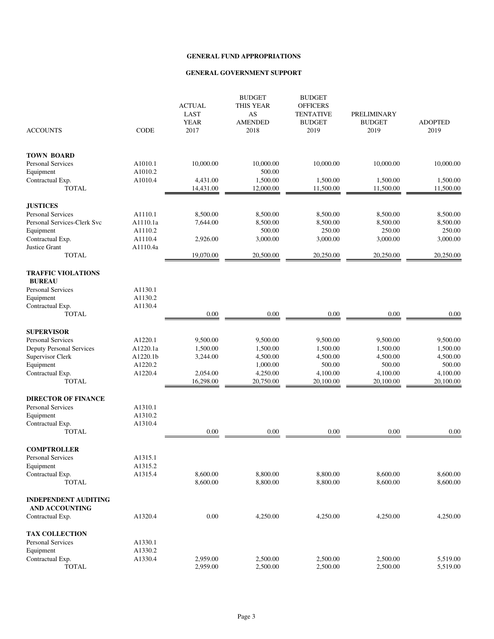|                                                      |             | <b>ACTUAL</b><br><b>LAST</b><br><b>YEAR</b> | <b>BUDGET</b><br><b>THIS YEAR</b><br>AS<br><b>AMENDED</b> | <b>BUDGET</b><br><b>OFFICERS</b><br><b>TENTATIVE</b><br><b>BUDGET</b> | <b>PRELIMINARY</b><br><b>BUDGET</b> | <b>ADOPTED</b> |
|------------------------------------------------------|-------------|---------------------------------------------|-----------------------------------------------------------|-----------------------------------------------------------------------|-------------------------------------|----------------|
| <b>ACCOUNTS</b>                                      | <b>CODE</b> | 2017                                        | 2018                                                      | 2019                                                                  | 2019                                | 2019           |
| <b>TOWN BOARD</b>                                    |             |                                             |                                                           |                                                                       |                                     |                |
| <b>Personal Services</b>                             | A1010.1     | 10,000.00                                   | 10,000.00                                                 | 10,000.00                                                             | 10,000.00                           | 10,000.00      |
| Equipment                                            | A1010.2     |                                             | 500.00                                                    |                                                                       |                                     |                |
| Contractual Exp.                                     | A1010.4     | 4,431.00                                    | 1,500.00                                                  | 1,500.00                                                              | 1,500.00                            | 1,500.00       |
| <b>TOTAL</b>                                         |             | 14,431.00                                   | 12,000.00                                                 | 11,500.00                                                             | 11,500.00                           | 11,500.00      |
| <b>JUSTICES</b>                                      |             |                                             |                                                           |                                                                       |                                     |                |
| <b>Personal Services</b>                             | A1110.1     | 8,500.00                                    | 8,500.00                                                  | 8,500.00                                                              | 8,500.00                            | 8,500.00       |
| Personal Services-Clerk Svc                          | A1110.1a    | 7,644.00                                    | 8,500.00                                                  | 8,500.00                                                              | 8,500.00                            | 8,500.00       |
| Equipment                                            | A1110.2     |                                             | 500.00                                                    | 250.00                                                                | 250.00                              | 250.00         |
| Contractual Exp.                                     | A1110.4     | 2,926.00                                    | 3,000.00                                                  | 3,000.00                                                              | 3,000.00                            | 3,000.00       |
| Justice Grant                                        | A1110.4a    |                                             |                                                           |                                                                       |                                     |                |
| <b>TOTAL</b>                                         |             | 19,070.00                                   | 20,500.00                                                 | 20,250.00                                                             | 20,250.00                           | 20,250.00      |
| <b>TRAFFIC VIOLATIONS</b><br><b>BUREAU</b>           |             |                                             |                                                           |                                                                       |                                     |                |
| <b>Personal Services</b>                             | A1130.1     |                                             |                                                           |                                                                       |                                     |                |
| Equipment                                            | A1130.2     |                                             |                                                           |                                                                       |                                     |                |
| Contractual Exp.                                     | A1130.4     |                                             |                                                           |                                                                       |                                     |                |
| <b>TOTAL</b>                                         |             | 0.00                                        | 0.00                                                      | 0.00                                                                  | 0.00                                | 0.00           |
| <b>SUPERVISOR</b>                                    |             |                                             |                                                           |                                                                       |                                     |                |
| Personal Services                                    | A1220.1     | 9,500.00                                    | 9,500.00                                                  | 9,500.00                                                              | 9,500.00                            | 9,500.00       |
| <b>Deputy Personal Services</b>                      | A1220.1a    | 1,500.00                                    | 1,500.00                                                  | 1,500.00                                                              | 1,500.00                            | 1,500.00       |
| Supervisor Clerk                                     | A1220.1b    | 3,244.00                                    | 4,500.00                                                  | 4,500.00                                                              | 4,500.00                            | 4,500.00       |
| Equipment                                            | A1220.2     |                                             | 1,000.00                                                  | 500.00                                                                | 500.00                              | 500.00         |
| Contractual Exp.                                     | A1220.4     | 2,054.00                                    | 4,250.00                                                  | 4,100.00                                                              | 4,100.00                            | 4,100.00       |
| <b>TOTAL</b>                                         |             | 16,298.00                                   | 20,750.00                                                 | 20,100.00                                                             | 20,100.00                           | 20,100.00      |
| <b>DIRECTOR OF FINANCE</b>                           |             |                                             |                                                           |                                                                       |                                     |                |
| <b>Personal Services</b>                             | A1310.1     |                                             |                                                           |                                                                       |                                     |                |
| Equipment                                            | A1310.2     |                                             |                                                           |                                                                       |                                     |                |
| Contractual Exp.                                     | A1310.4     |                                             |                                                           |                                                                       |                                     |                |
| <b>TOTAL</b>                                         |             | 0.00                                        | 0.00                                                      | 0.00                                                                  | 0.00                                | 0.00           |
| <b>COMPTROLLER</b>                                   |             |                                             |                                                           |                                                                       |                                     |                |
| Personal Services                                    | A1315.1     |                                             |                                                           |                                                                       |                                     |                |
| Equipment                                            | A1315.2     |                                             |                                                           |                                                                       |                                     |                |
| Contractual Exp.                                     | A1315.4     | 8,600.00                                    | 8,800.00                                                  | 8,800.00                                                              | 8,600.00                            | 8,600.00       |
| <b>TOTAL</b>                                         |             | 8,600.00                                    | 8,800.00                                                  | 8,800.00                                                              | 8,600.00                            | 8,600.00       |
| <b>INDEPENDENT AUDITING</b><br><b>AND ACCOUNTING</b> |             |                                             |                                                           |                                                                       |                                     |                |
| Contractual Exp.                                     | A1320.4     | $0.00\,$                                    | 4,250.00                                                  | 4,250.00                                                              | 4,250.00                            | 4,250.00       |
| <b>TAX COLLECTION</b>                                |             |                                             |                                                           |                                                                       |                                     |                |
| <b>Personal Services</b>                             | A1330.1     |                                             |                                                           |                                                                       |                                     |                |
| Equipment                                            | A1330.2     |                                             |                                                           |                                                                       |                                     |                |
| Contractual Exp.                                     | A1330.4     | 2,959.00                                    | 2,500.00                                                  | 2,500.00                                                              | 2,500.00                            | 5,519.00       |
| <b>TOTAL</b>                                         |             | 2,959.00                                    | 2,500.00                                                  | 2,500.00                                                              | 2,500.00                            | 5,519.00       |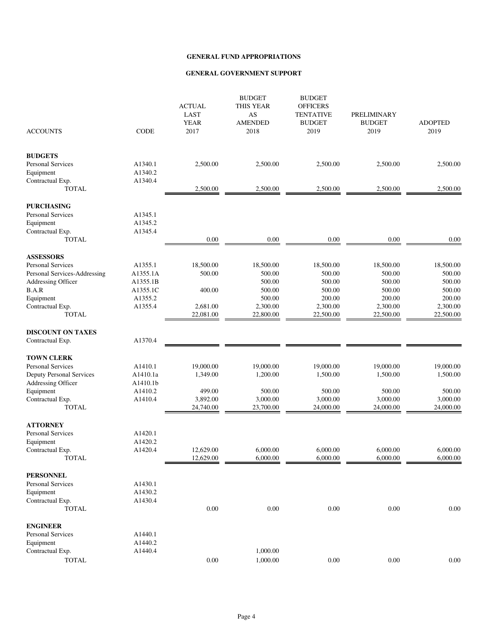| <b>ACCOUNTS</b>                  | <b>CODE</b> | <b>ACTUAL</b><br><b>LAST</b><br><b>YEAR</b><br>2017 | <b>BUDGET</b><br><b>THIS YEAR</b><br>$\mathbf{A}\mathbf{S}$<br><b>AMENDED</b><br>2018 | <b>BUDGET</b><br><b>OFFICERS</b><br><b>TENTATIVE</b><br><b>BUDGET</b><br>2019 | PRELIMINARY<br><b>BUDGET</b><br>2019 | <b>ADOPTED</b><br>2019 |
|----------------------------------|-------------|-----------------------------------------------------|---------------------------------------------------------------------------------------|-------------------------------------------------------------------------------|--------------------------------------|------------------------|
| <b>BUDGETS</b>                   |             |                                                     |                                                                                       |                                                                               |                                      |                        |
| <b>Personal Services</b>         | A1340.1     | 2,500.00                                            | 2,500.00                                                                              | 2,500.00                                                                      | 2,500.00                             | 2,500.00               |
| Equipment                        | A1340.2     |                                                     |                                                                                       |                                                                               |                                      |                        |
| Contractual Exp.                 | A1340.4     |                                                     |                                                                                       |                                                                               |                                      |                        |
| <b>TOTAL</b>                     |             | 2,500.00                                            | 2,500.00                                                                              | 2,500.00                                                                      | 2,500.00                             | 2,500.00               |
| <b>PURCHASING</b>                |             |                                                     |                                                                                       |                                                                               |                                      |                        |
| <b>Personal Services</b>         | A1345.1     |                                                     |                                                                                       |                                                                               |                                      |                        |
| Equipment                        | A1345.2     |                                                     |                                                                                       |                                                                               |                                      |                        |
| Contractual Exp.                 | A1345.4     |                                                     |                                                                                       |                                                                               |                                      |                        |
| <b>TOTAL</b>                     |             | 0.00                                                | 0.00                                                                                  | 0.00                                                                          | 0.00                                 | 0.00                   |
| <b>ASSESSORS</b>                 |             |                                                     |                                                                                       |                                                                               |                                      |                        |
| <b>Personal Services</b>         | A1355.1     | 18,500.00                                           | 18,500.00                                                                             | 18,500.00                                                                     | 18,500.00                            | 18,500.00              |
| Personal Services-Addressing     | A1355.1A    | 500.00                                              | 500.00                                                                                | 500.00                                                                        | 500.00                               | 500.00                 |
| Addressing Officer               | A1355.1B    |                                                     | 500.00                                                                                | 500.00                                                                        | 500.00                               | 500.00                 |
| B.A.R                            | A1355.1C    | 400.00                                              | 500.00                                                                                | 500.00                                                                        | 500.00                               | 500.00                 |
| Equipment                        | A1355.2     |                                                     | 500.00                                                                                | 200.00                                                                        | 200.00                               | 200.00                 |
| Contractual Exp.<br><b>TOTAL</b> | A1355.4     | 2,681.00<br>22,081.00                               | 2,300.00<br>22,800.00                                                                 | 2,300.00<br>22,500.00                                                         | 2,300.00<br>22,500.00                | 2,300.00<br>22,500.00  |
|                                  |             |                                                     |                                                                                       |                                                                               |                                      |                        |
| <b>DISCOUNT ON TAXES</b>         |             |                                                     |                                                                                       |                                                                               |                                      |                        |
| Contractual Exp.                 | A1370.4     |                                                     |                                                                                       |                                                                               |                                      |                        |
| <b>TOWN CLERK</b>                |             |                                                     |                                                                                       |                                                                               |                                      |                        |
| <b>Personal Services</b>         | A1410.1     | 19,000.00                                           | 19,000.00                                                                             | 19,000.00                                                                     | 19,000.00                            | 19,000.00              |
| <b>Deputy Personal Services</b>  | A1410.1a    | 1,349.00                                            | 1,200.00                                                                              | 1,500.00                                                                      | 1,500.00                             | 1,500.00               |
| Addressing Officer               | A1410.1b    |                                                     |                                                                                       |                                                                               |                                      |                        |
| Equipment                        | A1410.2     | 499.00                                              | 500.00                                                                                | 500.00                                                                        | 500.00                               | 500.00                 |
| Contractual Exp.                 | A1410.4     | 3,892.00                                            | 3,000.00                                                                              | 3,000.00                                                                      | 3,000.00                             | 3,000.00               |
| <b>TOTAL</b>                     |             | 24,740.00                                           | 23,700.00                                                                             | 24,000.00                                                                     | 24,000.00                            | 24,000.00              |
| <b>ATTORNEY</b>                  |             |                                                     |                                                                                       |                                                                               |                                      |                        |
| <b>Personal Services</b>         | A1420.1     |                                                     |                                                                                       |                                                                               |                                      |                        |
| Equipment                        | A1420.2     |                                                     |                                                                                       |                                                                               |                                      |                        |
| Contractual Exp.                 | A1420.4     | 12,629.00                                           | 6,000.00                                                                              | 6,000.00                                                                      | 6,000.00                             | 6,000.00               |
| <b>TOTAL</b>                     |             | 12,629.00                                           | 6,000.00                                                                              | 6,000.00                                                                      | 6,000.00                             | 6,000.00               |
| <b>PERSONNEL</b>                 |             |                                                     |                                                                                       |                                                                               |                                      |                        |
| <b>Personal Services</b>         | A1430.1     |                                                     |                                                                                       |                                                                               |                                      |                        |
| Equipment                        | A1430.2     |                                                     |                                                                                       |                                                                               |                                      |                        |
| Contractual Exp.                 | A1430.4     |                                                     |                                                                                       |                                                                               |                                      |                        |
| <b>TOTAL</b>                     |             | 0.00                                                | $0.00\,$                                                                              | 0.00                                                                          | $0.00\,$                             | 0.00                   |
| <b>ENGINEER</b>                  |             |                                                     |                                                                                       |                                                                               |                                      |                        |
| <b>Personal Services</b>         | A1440.1     |                                                     |                                                                                       |                                                                               |                                      |                        |
| Equipment                        | A1440.2     |                                                     |                                                                                       |                                                                               |                                      |                        |
| Contractual Exp.                 | A1440.4     |                                                     | 1,000.00                                                                              |                                                                               |                                      |                        |
| <b>TOTAL</b>                     |             | $0.00\,$                                            | 1,000.00                                                                              | 0.00                                                                          | $0.00\,$                             | 0.00                   |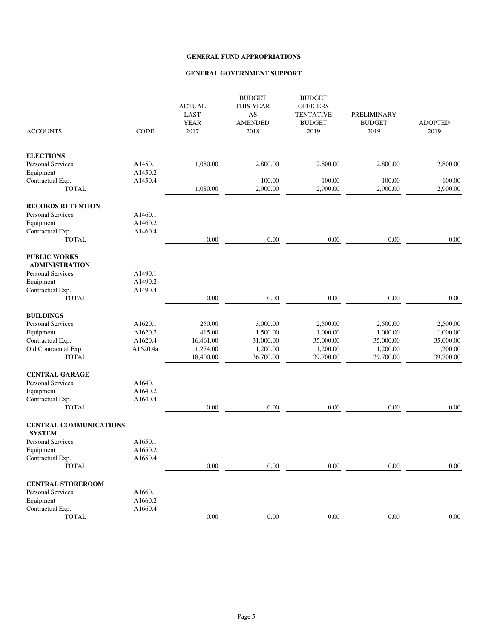| <b>ACCOUNTS</b>                                | <b>CODE</b> | <b>ACTUAL</b><br><b>LAST</b><br><b>YEAR</b><br>2017 | <b>BUDGET</b><br>THIS YEAR<br>AS<br><b>AMENDED</b><br>2018 | <b>BUDGET</b><br><b>OFFICERS</b><br><b>TENTATIVE</b><br><b>BUDGET</b><br>2019 | PRELIMINARY<br><b>BUDGET</b><br>2019 | <b>ADOPTED</b><br>2019 |
|------------------------------------------------|-------------|-----------------------------------------------------|------------------------------------------------------------|-------------------------------------------------------------------------------|--------------------------------------|------------------------|
| <b>ELECTIONS</b>                               |             |                                                     |                                                            |                                                                               |                                      |                        |
| Personal Services                              | A1450.1     | 1,080.00                                            | 2,800.00                                                   | 2,800.00                                                                      | 2,800.00                             | 2,800.00               |
| Equipment                                      | A1450.2     |                                                     |                                                            |                                                                               |                                      |                        |
| Contractual Exp.                               | A1450.4     |                                                     | 100.00                                                     | 100.00                                                                        | 100.00                               | 100.00                 |
| <b>TOTAL</b>                                   |             | 1,080.00                                            | 2,900.00                                                   | 2,900.00                                                                      | 2,900.00                             | 2,900.00               |
| <b>RECORDS RETENTION</b>                       |             |                                                     |                                                            |                                                                               |                                      |                        |
| Personal Services                              | A1460.1     |                                                     |                                                            |                                                                               |                                      |                        |
| Equipment                                      | A1460.2     |                                                     |                                                            |                                                                               |                                      |                        |
| Contractual Exp.                               | A1460.4     |                                                     |                                                            |                                                                               |                                      |                        |
| <b>TOTAL</b>                                   |             | 0.00                                                | 0.00                                                       | 0.00                                                                          | 0.00                                 | 0.00                   |
| <b>PUBLIC WORKS</b><br><b>ADMINISTRATION</b>   |             |                                                     |                                                            |                                                                               |                                      |                        |
| Personal Services                              | A1490.1     |                                                     |                                                            |                                                                               |                                      |                        |
| Equipment                                      | A1490.2     |                                                     |                                                            |                                                                               |                                      |                        |
| Contractual Exp.                               | A1490.4     |                                                     |                                                            |                                                                               |                                      |                        |
| <b>TOTAL</b>                                   |             | 0.00                                                | $0.00\,$                                                   | 0.00                                                                          | $0.00\,$                             | 0.00                   |
| <b>BUILDINGS</b>                               |             |                                                     |                                                            |                                                                               |                                      |                        |
| <b>Personal Services</b>                       | A1620.1     | 250.00                                              | 3,000.00                                                   | 2,500.00                                                                      | 2,500.00                             | 2,500.00               |
| Equipment                                      | A1620.2     | 415.00                                              | 1,500.00                                                   | 1,000.00                                                                      | 1,000.00                             | 1,000.00               |
| Contractual Exp.                               | A1620.4     | 16,461.00                                           | 31,000.00                                                  | 35,000.00                                                                     | 35,000.00                            | 35,000.00              |
| Old Contractual Exp.                           | A1620.4a    | 1,274.00                                            | 1,200.00                                                   | 1,200.00                                                                      | 1,200.00                             | 1,200.00               |
| <b>TOTAL</b>                                   |             | 18,400.00                                           | 36,700.00                                                  | 39,700.00                                                                     | 39,700.00                            | 39,700.00              |
| <b>CENTRAL GARAGE</b>                          |             |                                                     |                                                            |                                                                               |                                      |                        |
| Personal Services                              | A1640.1     |                                                     |                                                            |                                                                               |                                      |                        |
| Equipment                                      | A1640.2     |                                                     |                                                            |                                                                               |                                      |                        |
| Contractual Exp.                               | A1640.4     |                                                     |                                                            |                                                                               |                                      |                        |
| <b>TOTAL</b>                                   |             | $0.00\,$                                            | 0.00                                                       | 0.00                                                                          | 0.00                                 | 0.00                   |
| <b>CENTRAL COMMUNICATIONS</b><br><b>SYSTEM</b> |             |                                                     |                                                            |                                                                               |                                      |                        |
| <b>Personal Services</b>                       | A1650.1     |                                                     |                                                            |                                                                               |                                      |                        |
| Equipment                                      | A1650.2     |                                                     |                                                            |                                                                               |                                      |                        |
| Contractual Exp.                               | A1650.4     |                                                     |                                                            |                                                                               |                                      |                        |
| <b>TOTAL</b>                                   |             | 0.00                                                | 0.00                                                       | 0.00                                                                          | 0.00                                 | $0.00\,$               |
| <b>CENTRAL STOREROOM</b>                       |             |                                                     |                                                            |                                                                               |                                      |                        |
| <b>Personal Services</b>                       | A1660.1     |                                                     |                                                            |                                                                               |                                      |                        |
| Equipment                                      | A1660.2     |                                                     |                                                            |                                                                               |                                      |                        |
| Contractual Exp.                               | A1660.4     |                                                     |                                                            |                                                                               |                                      |                        |
| <b>TOTAL</b>                                   |             | $0.00\,$                                            | $0.00\,$                                                   | $0.00\,$                                                                      | $0.00\,$                             | $0.00\,$               |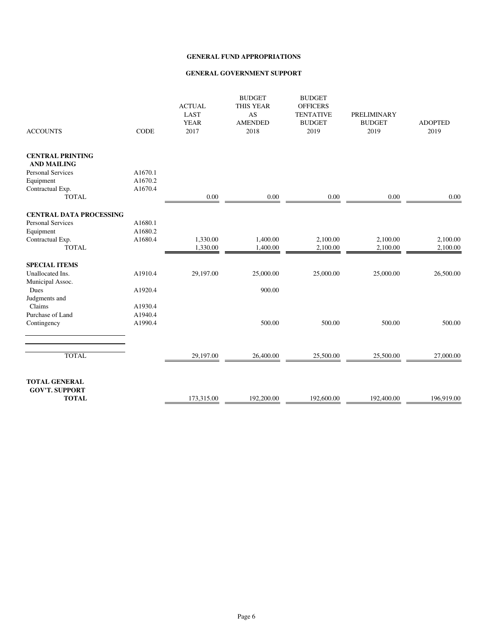| <b>ACCOUNTS</b>                               | <b>CODE</b> | <b>ACTUAL</b><br>LAST<br><b>YEAR</b><br>2017 | <b>BUDGET</b><br><b>THIS YEAR</b><br>AS<br><b>AMENDED</b><br>2018 | <b>BUDGET</b><br><b>OFFICERS</b><br><b>TENTATIVE</b><br><b>BUDGET</b><br>2019 | <b>PRELIMINARY</b><br><b>BUDGET</b><br>2019 | <b>ADOPTED</b><br>2019 |
|-----------------------------------------------|-------------|----------------------------------------------|-------------------------------------------------------------------|-------------------------------------------------------------------------------|---------------------------------------------|------------------------|
| <b>CENTRAL PRINTING</b><br><b>AND MAILING</b> |             |                                              |                                                                   |                                                                               |                                             |                        |
| <b>Personal Services</b>                      | A1670.1     |                                              |                                                                   |                                                                               |                                             |                        |
| Equipment                                     | A1670.2     |                                              |                                                                   |                                                                               |                                             |                        |
| Contractual Exp.                              | A1670.4     |                                              |                                                                   |                                                                               |                                             |                        |
| <b>TOTAL</b>                                  |             | 0.00                                         | 0.00                                                              | 0.00                                                                          | 0.00                                        | 0.00                   |
| <b>CENTRAL DATA PROCESSING</b>                |             |                                              |                                                                   |                                                                               |                                             |                        |
| <b>Personal Services</b>                      | A1680.1     |                                              |                                                                   |                                                                               |                                             |                        |
| Equipment                                     | A1680.2     |                                              |                                                                   |                                                                               |                                             |                        |
| Contractual Exp.                              | A1680.4     | 1,330.00                                     | 1,400.00                                                          | 2,100.00                                                                      | 2,100.00                                    | 2,100.00               |
| <b>TOTAL</b>                                  |             | 1,330.00                                     | 1,400.00                                                          | 2,100.00                                                                      | 2,100.00                                    | 2,100.00               |
| <b>SPECIAL ITEMS</b>                          |             |                                              |                                                                   |                                                                               |                                             |                        |
| Unallocated Ins.                              | A1910.4     | 29,197.00                                    | 25,000.00                                                         | 25,000.00                                                                     | 25,000.00                                   | 26,500.00              |
| Municipal Assoc.                              |             |                                              |                                                                   |                                                                               |                                             |                        |
| Dues                                          | A1920.4     |                                              | 900.00                                                            |                                                                               |                                             |                        |
| Judgments and                                 |             |                                              |                                                                   |                                                                               |                                             |                        |
| Claims                                        | A1930.4     |                                              |                                                                   |                                                                               |                                             |                        |
| Purchase of Land                              | A1940.4     |                                              |                                                                   |                                                                               |                                             |                        |
| Contingency                                   | A1990.4     |                                              | 500.00                                                            | 500.00                                                                        | 500.00                                      | 500.00                 |
|                                               |             |                                              |                                                                   |                                                                               |                                             |                        |
| <b>TOTAL</b>                                  |             | 29,197.00                                    | 26,400.00                                                         | 25,500.00                                                                     | 25,500.00                                   | 27,000.00              |
|                                               |             |                                              |                                                                   |                                                                               |                                             |                        |
| <b>TOTAL GENERAL</b><br><b>GOV'T. SUPPORT</b> |             |                                              |                                                                   |                                                                               |                                             |                        |
| <b>TOTAL</b>                                  |             | 173,315.00                                   | 192,200.00                                                        | 192,600.00                                                                    | 192,400.00                                  | 196,919.00             |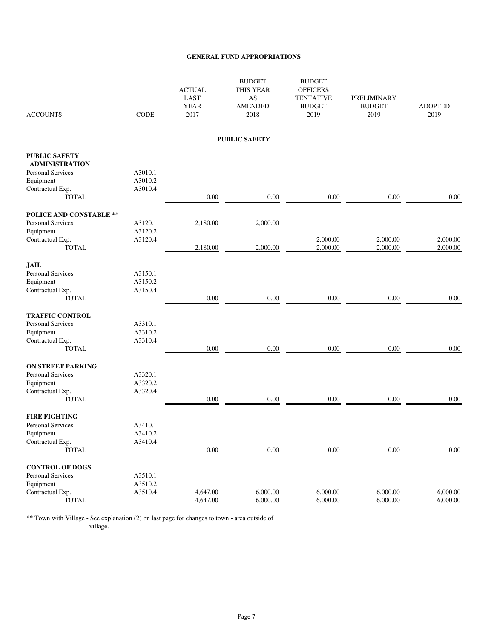| <b>ACCOUNTS</b>                  | <b>CODE</b>        | <b>ACTUAL</b><br><b>LAST</b><br><b>YEAR</b><br>2017 | <b>BUDGET</b><br>THIS YEAR<br>AS<br><b>AMENDED</b><br>2018 | <b>BUDGET</b><br><b>OFFICERS</b><br><b>TENTATIVE</b><br><b>BUDGET</b><br>2019 | PRELIMINARY<br><b>BUDGET</b><br>2019 | <b>ADOPTED</b><br>2019 |
|----------------------------------|--------------------|-----------------------------------------------------|------------------------------------------------------------|-------------------------------------------------------------------------------|--------------------------------------|------------------------|
|                                  |                    |                                                     | <b>PUBLIC SAFETY</b>                                       |                                                                               |                                      |                        |
| <b>PUBLIC SAFETY</b>             |                    |                                                     |                                                            |                                                                               |                                      |                        |
| <b>ADMINISTRATION</b>            |                    |                                                     |                                                            |                                                                               |                                      |                        |
| <b>Personal Services</b>         | A3010.1<br>A3010.2 |                                                     |                                                            |                                                                               |                                      |                        |
| Equipment<br>Contractual Exp.    | A3010.4            |                                                     |                                                            |                                                                               |                                      |                        |
| <b>TOTAL</b>                     |                    | $0.00\,$                                            | $0.00\,$                                                   | $0.00\,$                                                                      | $0.00\,$                             | 0.00                   |
|                                  |                    |                                                     |                                                            |                                                                               |                                      |                        |
| <b>POLICE AND CONSTABLE **</b>   |                    |                                                     |                                                            |                                                                               |                                      |                        |
| <b>Personal Services</b>         | A3120.1            | 2,180.00                                            | 2,000.00                                                   |                                                                               |                                      |                        |
| Equipment<br>Contractual Exp.    | A3120.2<br>A3120.4 |                                                     |                                                            | 2,000.00                                                                      | 2,000.00                             | 2,000.00               |
| <b>TOTAL</b>                     |                    | 2,180.00                                            | 2,000.00                                                   | 2,000.00                                                                      | 2,000.00                             | 2,000.00               |
|                                  |                    |                                                     |                                                            |                                                                               |                                      |                        |
| <b>JAIL</b>                      |                    |                                                     |                                                            |                                                                               |                                      |                        |
| Personal Services                | A3150.1            |                                                     |                                                            |                                                                               |                                      |                        |
| Equipment                        | A3150.2<br>A3150.4 |                                                     |                                                            |                                                                               |                                      |                        |
| Contractual Exp.<br><b>TOTAL</b> |                    | 0.00                                                | 0.00                                                       | 0.00                                                                          | $0.00\,$                             | 0.00                   |
|                                  |                    |                                                     |                                                            |                                                                               |                                      |                        |
| <b>TRAFFIC CONTROL</b>           |                    |                                                     |                                                            |                                                                               |                                      |                        |
| <b>Personal Services</b>         | A3310.1            |                                                     |                                                            |                                                                               |                                      |                        |
| Equipment                        | A3310.2            |                                                     |                                                            |                                                                               |                                      |                        |
| Contractual Exp.                 | A3310.4            |                                                     |                                                            |                                                                               |                                      |                        |
| <b>TOTAL</b>                     |                    | 0.00                                                | 0.00                                                       | 0.00                                                                          | 0.00                                 | 0.00                   |
| <b>ON STREET PARKING</b>         |                    |                                                     |                                                            |                                                                               |                                      |                        |
| <b>Personal Services</b>         | A3320.1            |                                                     |                                                            |                                                                               |                                      |                        |
| Equipment                        | A3320.2            |                                                     |                                                            |                                                                               |                                      |                        |
| Contractual Exp.                 | A3320.4            |                                                     |                                                            |                                                                               |                                      |                        |
| <b>TOTAL</b>                     |                    | 0.00                                                | 0.00                                                       | 0.00                                                                          | 0.00                                 | 0.00                   |
| <b>FIRE FIGHTING</b>             |                    |                                                     |                                                            |                                                                               |                                      |                        |
| <b>Personal Services</b>         | A3410.1            |                                                     |                                                            |                                                                               |                                      |                        |
| Equipment                        | A3410.2            |                                                     |                                                            |                                                                               |                                      |                        |
| Contractual Exp.                 | A3410.4            |                                                     |                                                            |                                                                               |                                      |                        |
| <b>TOTAL</b>                     |                    | 0.00                                                | 0.00                                                       | 0.00                                                                          | 0.00                                 | 0.00                   |
| <b>CONTROL OF DOGS</b>           |                    |                                                     |                                                            |                                                                               |                                      |                        |
| Personal Services                | A3510.1            |                                                     |                                                            |                                                                               |                                      |                        |
| Equipment                        | A3510.2            |                                                     |                                                            |                                                                               |                                      |                        |
| Contractual Exp.                 | A3510.4            | 4,647.00                                            | 6,000.00                                                   | 6,000.00                                                                      | 6,000.00                             | 6,000.00               |
| TOTAL                            |                    | 4,647.00                                            | 6,000.00                                                   | 6,000.00                                                                      | 6,000.00                             | 6,000.00               |

\*\* Town with Village - See explanation (2) on last page for changes to town - area outside of village.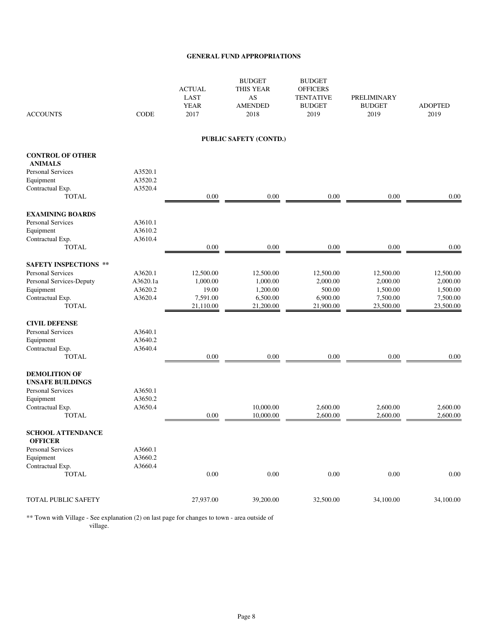| <b>ACCOUNTS</b>                            | <b>CODE</b> | <b>ACTUAL</b><br><b>LAST</b><br><b>YEAR</b><br>2017 | <b>BUDGET</b><br>THIS YEAR<br>AS<br><b>AMENDED</b><br>2018 | <b>BUDGET</b><br><b>OFFICERS</b><br><b>TENTATIVE</b><br><b>BUDGET</b><br>2019 | PRELIMINARY<br><b>BUDGET</b><br>2019 | <b>ADOPTED</b><br>2019 |
|--------------------------------------------|-------------|-----------------------------------------------------|------------------------------------------------------------|-------------------------------------------------------------------------------|--------------------------------------|------------------------|
|                                            |             |                                                     | PUBLIC SAFETY (CONTD.)                                     |                                                                               |                                      |                        |
| <b>CONTROL OF OTHER</b><br><b>ANIMALS</b>  |             |                                                     |                                                            |                                                                               |                                      |                        |
| <b>Personal Services</b>                   | A3520.1     |                                                     |                                                            |                                                                               |                                      |                        |
| Equipment                                  | A3520.2     |                                                     |                                                            |                                                                               |                                      |                        |
| Contractual Exp.                           | A3520.4     |                                                     |                                                            |                                                                               |                                      |                        |
| TOTAL                                      |             | $0.00\,$                                            | $0.00\,$                                                   | $0.00\,$                                                                      | $0.00\,$                             | 0.00                   |
| <b>EXAMINING BOARDS</b>                    |             |                                                     |                                                            |                                                                               |                                      |                        |
| <b>Personal Services</b>                   | A3610.1     |                                                     |                                                            |                                                                               |                                      |                        |
| Equipment                                  | A3610.2     |                                                     |                                                            |                                                                               |                                      |                        |
| Contractual Exp.                           | A3610.4     |                                                     |                                                            |                                                                               |                                      |                        |
| <b>TOTAL</b>                               |             | 0.00                                                | 0.00                                                       | 0.00                                                                          | $0.00\,$                             | 0.00                   |
| <b>SAFETY INSPECTIONS **</b>               |             |                                                     |                                                            |                                                                               |                                      |                        |
| <b>Personal Services</b>                   | A3620.1     | 12,500.00                                           | 12,500.00                                                  | 12,500.00                                                                     | 12,500.00                            | 12,500.00              |
| Personal Services-Deputy                   | A3620.1a    | 1,000.00                                            | 1,000.00                                                   | 2,000.00                                                                      | 2,000.00                             | 2,000.00               |
| Equipment                                  | A3620.2     | 19.00                                               | 1,200.00                                                   | 500.00                                                                        | 1,500.00                             | 1,500.00               |
| Contractual Exp.                           | A3620.4     | 7,591.00                                            | 6,500.00                                                   | 6,900.00                                                                      | 7,500.00                             | 7,500.00               |
| <b>TOTAL</b>                               |             | 21,110.00                                           | 21,200.00                                                  | 21,900.00                                                                     | 23,500.00                            | 23,500.00              |
| <b>CIVIL DEFENSE</b>                       |             |                                                     |                                                            |                                                                               |                                      |                        |
| <b>Personal Services</b>                   | A3640.1     |                                                     |                                                            |                                                                               |                                      |                        |
| Equipment                                  | A3640.2     |                                                     |                                                            |                                                                               |                                      |                        |
| Contractual Exp.                           | A3640.4     |                                                     |                                                            |                                                                               |                                      |                        |
| <b>TOTAL</b>                               |             | 0.00                                                | 0.00                                                       | 0.00                                                                          | 0.00                                 | 0.00                   |
| <b>DEMOLITION OF</b>                       |             |                                                     |                                                            |                                                                               |                                      |                        |
| <b>UNSAFE BUILDINGS</b>                    |             |                                                     |                                                            |                                                                               |                                      |                        |
| <b>Personal Services</b>                   | A3650.1     |                                                     |                                                            |                                                                               |                                      |                        |
| Equipment                                  | A3650.2     |                                                     |                                                            |                                                                               |                                      |                        |
| Contractual Exp.                           | A3650.4     |                                                     | 10,000.00                                                  | 2,600.00                                                                      | 2,600.00                             | 2,600.00               |
| <b>TOTAL</b>                               |             | 0.00                                                | 10,000.00                                                  | 2,600.00                                                                      | 2,600.00                             | 2,600.00               |
| <b>SCHOOL ATTENDANCE</b><br><b>OFFICER</b> |             |                                                     |                                                            |                                                                               |                                      |                        |
| Personal Services                          | A3660.1     |                                                     |                                                            |                                                                               |                                      |                        |
| Equipment                                  | A3660.2     |                                                     |                                                            |                                                                               |                                      |                        |
| Contractual Exp.                           | A3660.4     |                                                     |                                                            |                                                                               |                                      |                        |
| <b>TOTAL</b>                               |             | $0.00\,$                                            | $0.00\,$                                                   | 0.00                                                                          | $0.00\,$                             | $0.00\,$               |
| TOTAL PUBLIC SAFETY                        |             | 27,937.00                                           | 39,200.00                                                  | 32,500.00                                                                     | 34,100.00                            | 34,100.00              |
|                                            |             |                                                     |                                                            |                                                                               |                                      |                        |

\*\* Town with Village - See explanation (2) on last page for changes to town - area outside of village.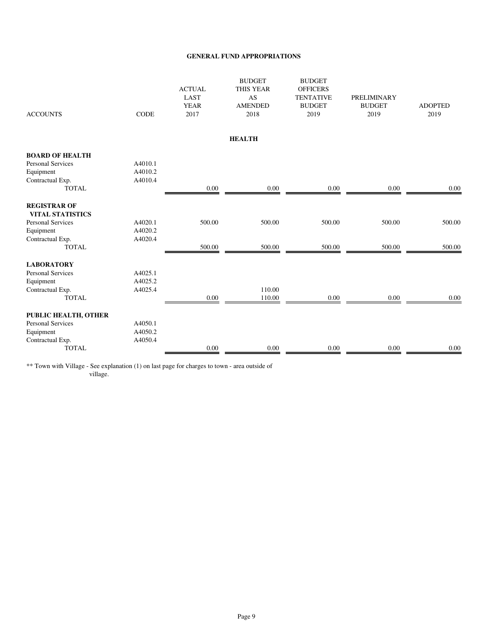| <b>ACCOUNTS</b>                                | <b>CODE</b> | <b>ACTUAL</b><br>LAST<br><b>YEAR</b><br>2017 | <b>BUDGET</b><br><b>THIS YEAR</b><br><b>AS</b><br><b>AMENDED</b><br>2018 | <b>BUDGET</b><br><b>OFFICERS</b><br><b>TENTATIVE</b><br><b>BUDGET</b><br>2019 | <b>PRELIMINARY</b><br><b>BUDGET</b><br>2019 | <b>ADOPTED</b><br>2019 |
|------------------------------------------------|-------------|----------------------------------------------|--------------------------------------------------------------------------|-------------------------------------------------------------------------------|---------------------------------------------|------------------------|
|                                                |             |                                              | <b>HEALTH</b>                                                            |                                                                               |                                             |                        |
| <b>BOARD OF HEALTH</b>                         |             |                                              |                                                                          |                                                                               |                                             |                        |
| <b>Personal Services</b>                       | A4010.1     |                                              |                                                                          |                                                                               |                                             |                        |
| Equipment                                      | A4010.2     |                                              |                                                                          |                                                                               |                                             |                        |
| Contractual Exp.                               | A4010.4     |                                              |                                                                          |                                                                               |                                             |                        |
| <b>TOTAL</b>                                   |             | $0.00\,$                                     | 0.00                                                                     | 0.00                                                                          | 0.00                                        | 0.00                   |
| <b>REGISTRAR OF</b><br><b>VITAL STATISTICS</b> |             |                                              |                                                                          |                                                                               |                                             |                        |
| <b>Personal Services</b>                       | A4020.1     | 500.00                                       | 500.00                                                                   | 500.00                                                                        | 500.00                                      | 500.00                 |
| Equipment                                      | A4020.2     |                                              |                                                                          |                                                                               |                                             |                        |
| Contractual Exp.                               | A4020.4     |                                              |                                                                          |                                                                               |                                             |                        |
| <b>TOTAL</b>                                   |             | 500.00                                       | 500.00                                                                   | 500.00                                                                        | 500.00                                      | 500.00                 |
| <b>LABORATORY</b>                              |             |                                              |                                                                          |                                                                               |                                             |                        |
| <b>Personal Services</b>                       | A4025.1     |                                              |                                                                          |                                                                               |                                             |                        |
| Equipment                                      | A4025.2     |                                              |                                                                          |                                                                               |                                             |                        |
| Contractual Exp.                               | A4025.4     |                                              | 110.00                                                                   |                                                                               |                                             |                        |
| <b>TOTAL</b>                                   |             | 0.00                                         | 110.00                                                                   | 0.00                                                                          | $0.00\,$                                    | $0.00\,$               |
| PUBLIC HEALTH, OTHER                           |             |                                              |                                                                          |                                                                               |                                             |                        |
| <b>Personal Services</b>                       | A4050.1     |                                              |                                                                          |                                                                               |                                             |                        |
| Equipment                                      | A4050.2     |                                              |                                                                          |                                                                               |                                             |                        |
| Contractual Exp.                               | A4050.4     |                                              |                                                                          |                                                                               |                                             |                        |
| <b>TOTAL</b>                                   |             | 0.00                                         | 0.00                                                                     | 0.00                                                                          | 0.00                                        | 0.00                   |
|                                                |             |                                              |                                                                          |                                                                               |                                             |                        |

\*\* Town with Village - See explanation (1) on last page for charges to town - area outside of village.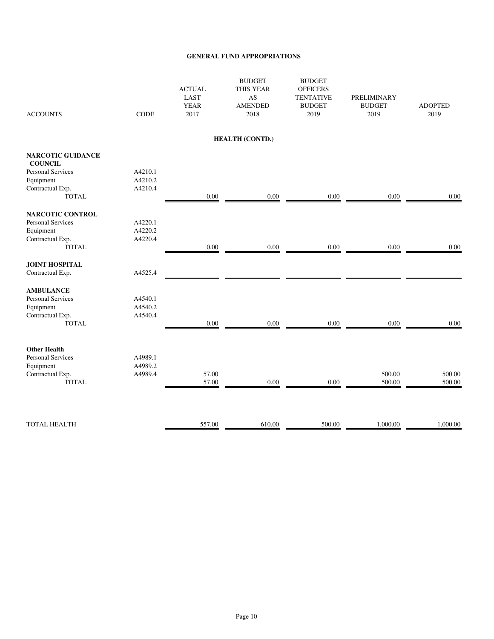| <b>ACCOUNTS</b>                            | <b>CODE</b> | <b>ACTUAL</b><br><b>LAST</b><br><b>YEAR</b><br>2017 | <b>BUDGET</b><br><b>THIS YEAR</b><br>AS<br><b>AMENDED</b><br>2018 | <b>BUDGET</b><br><b>OFFICERS</b><br><b>TENTATIVE</b><br><b>BUDGET</b><br>2019 | PRELIMINARY<br><b>BUDGET</b><br>2019 | <b>ADOPTED</b><br>2019 |
|--------------------------------------------|-------------|-----------------------------------------------------|-------------------------------------------------------------------|-------------------------------------------------------------------------------|--------------------------------------|------------------------|
|                                            |             |                                                     | <b>HEALTH (CONTD.)</b>                                            |                                                                               |                                      |                        |
| <b>NARCOTIC GUIDANCE</b><br><b>COUNCIL</b> |             |                                                     |                                                                   |                                                                               |                                      |                        |
| <b>Personal Services</b>                   | A4210.1     |                                                     |                                                                   |                                                                               |                                      |                        |
| Equipment                                  | A4210.2     |                                                     |                                                                   |                                                                               |                                      |                        |
| Contractual Exp.                           | A4210.4     |                                                     |                                                                   |                                                                               |                                      |                        |
| <b>TOTAL</b>                               |             | 0.00                                                | $0.00\,$                                                          | 0.00                                                                          | $0.00\,$                             | 0.00                   |
| NARCOTIC CONTROL                           |             |                                                     |                                                                   |                                                                               |                                      |                        |
| <b>Personal Services</b>                   | A4220.1     |                                                     |                                                                   |                                                                               |                                      |                        |
| Equipment                                  | A4220.2     |                                                     |                                                                   |                                                                               |                                      |                        |
| Contractual Exp.                           | A4220.4     |                                                     |                                                                   |                                                                               |                                      |                        |
| <b>TOTAL</b>                               |             | 0.00                                                | $0.00\,$                                                          | 0.00                                                                          | $0.00\,$                             | 0.00                   |
| <b>JOINT HOSPITAL</b>                      |             |                                                     |                                                                   |                                                                               |                                      |                        |
| Contractual Exp.                           | A4525.4     |                                                     |                                                                   |                                                                               |                                      |                        |
| <b>AMBULANCE</b>                           |             |                                                     |                                                                   |                                                                               |                                      |                        |
| Personal Services                          | A4540.1     |                                                     |                                                                   |                                                                               |                                      |                        |
| Equipment                                  | A4540.2     |                                                     |                                                                   |                                                                               |                                      |                        |
| Contractual Exp.                           | A4540.4     |                                                     |                                                                   |                                                                               |                                      |                        |
| <b>TOTAL</b>                               |             | 0.00                                                | 0.00                                                              | 0.00                                                                          | 0.00                                 | 0.00                   |
|                                            |             |                                                     |                                                                   |                                                                               |                                      |                        |
| <b>Other Health</b>                        |             |                                                     |                                                                   |                                                                               |                                      |                        |
| <b>Personal Services</b>                   | A4989.1     |                                                     |                                                                   |                                                                               |                                      |                        |
| Equipment                                  | A4989.2     |                                                     |                                                                   |                                                                               |                                      |                        |
| Contractual Exp.                           | A4989.4     | 57.00                                               |                                                                   |                                                                               | 500.00                               | 500.00                 |
| <b>TOTAL</b>                               |             | 57.00                                               | 0.00                                                              | 0.00                                                                          | 500.00                               | 500.00                 |
|                                            |             |                                                     |                                                                   |                                                                               |                                      |                        |
| TOTAL HEALTH                               |             | 557.00                                              | 610.00                                                            | 500.00                                                                        | 1,000.00                             | 1,000.00               |
|                                            |             |                                                     |                                                                   |                                                                               |                                      |                        |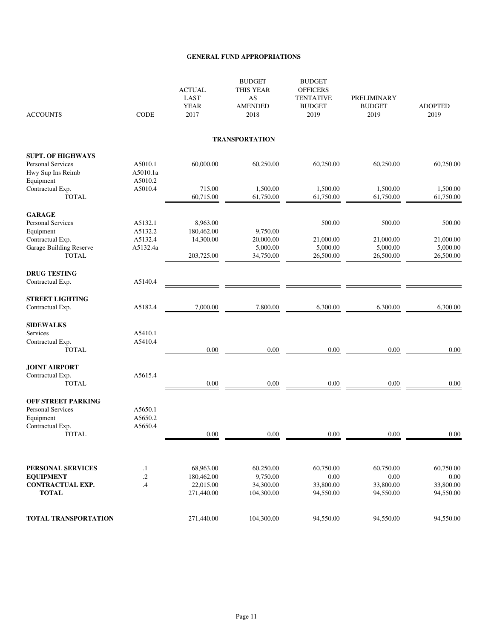| <b>ACCOUNTS</b>                         | <b>CODE</b>         | <b>ACTUAL</b><br><b>LAST</b><br><b>YEAR</b><br>2017 | <b>BUDGET</b><br>THIS YEAR<br>AS<br><b>AMENDED</b><br>2018 | <b>BUDGET</b><br><b>OFFICERS</b><br><b>TENTATIVE</b><br><b>BUDGET</b><br>2019 | PRELIMINARY<br><b>BUDGET</b><br>2019 | <b>ADOPTED</b><br>2019 |
|-----------------------------------------|---------------------|-----------------------------------------------------|------------------------------------------------------------|-------------------------------------------------------------------------------|--------------------------------------|------------------------|
|                                         |                     |                                                     | <b>TRANSPORTATION</b>                                      |                                                                               |                                      |                        |
| <b>SUPT. OF HIGHWAYS</b>                |                     |                                                     |                                                            |                                                                               |                                      |                        |
| Personal Services<br>Hwy Sup Ins Reimb  | A5010.1<br>A5010.1a | 60,000.00                                           | 60,250.00                                                  | 60,250.00                                                                     | 60,250.00                            | 60.250.00              |
| Equipment                               | A5010.2             |                                                     |                                                            |                                                                               |                                      |                        |
| Contractual Exp.<br><b>TOTAL</b>        | A5010.4             | 715.00<br>60,715.00                                 | 1,500.00<br>61,750.00                                      | 1,500.00<br>61,750.00                                                         | 1,500.00<br>61,750.00                | 1,500.00<br>61,750.00  |
| <b>GARAGE</b>                           |                     |                                                     |                                                            |                                                                               |                                      |                        |
| Personal Services                       | A5132.1             | 8,963.00                                            |                                                            | 500.00                                                                        | 500.00                               | 500.00                 |
| Equipment<br>Contractual Exp.           | A5132.2<br>A5132.4  | 180,462.00<br>14,300.00                             | 9,750.00<br>20,000.00                                      | 21,000.00                                                                     | 21,000.00                            | 21,000.00              |
| Garage Building Reserve                 | A5132.4a            |                                                     | 5,000.00                                                   | 5,000.00                                                                      | 5,000.00                             | 5,000.00               |
| <b>TOTAL</b>                            |                     | 203,725.00                                          | 34,750.00                                                  | 26,500.00                                                                     | 26,500.00                            | 26,500.00              |
| <b>DRUG TESTING</b>                     |                     |                                                     |                                                            |                                                                               |                                      |                        |
| Contractual Exp.                        | A5140.4             |                                                     |                                                            |                                                                               |                                      |                        |
| <b>STREET LIGHTING</b>                  |                     |                                                     |                                                            |                                                                               |                                      |                        |
| Contractual Exp.                        | A5182.4             | 7,000.00                                            | 7,800.00                                                   | 6,300.00                                                                      | 6,300.00                             | 6,300.00               |
| <b>SIDEWALKS</b>                        |                     |                                                     |                                                            |                                                                               |                                      |                        |
| Services                                | A5410.1             |                                                     |                                                            |                                                                               |                                      |                        |
| Contractual Exp.<br><b>TOTAL</b>        | A5410.4             | 0.00                                                | $0.00\,$                                                   | $0.00\,$                                                                      | $0.00\,$                             | 0.00                   |
|                                         |                     |                                                     |                                                            |                                                                               |                                      |                        |
| <b>JOINT AIRPORT</b>                    |                     |                                                     |                                                            |                                                                               |                                      |                        |
| Contractual Exp.<br><b>TOTAL</b>        | A5615.4             | 0.00                                                | 0.00                                                       | 0.00                                                                          | 0.00                                 | 0.00                   |
|                                         |                     |                                                     |                                                            |                                                                               |                                      |                        |
| <b>OFF STREET PARKING</b>               |                     |                                                     |                                                            |                                                                               |                                      |                        |
| <b>Personal Services</b><br>Equipment   | A5650.1<br>A5650.2  |                                                     |                                                            |                                                                               |                                      |                        |
| Contractual Exp.                        | A5650.4             |                                                     |                                                            |                                                                               |                                      |                        |
| <b>TOTAL</b>                            |                     | 0.00                                                | 0.00                                                       | 0.00                                                                          | 0.00                                 | 0.00                   |
|                                         |                     |                                                     |                                                            |                                                                               |                                      |                        |
| <b>PERSONAL SERVICES</b>                | $\cdot$             | 68,963.00                                           | 60,250.00                                                  | 60,750.00                                                                     | 60,750.00                            | 60,750.00              |
| <b>EQUIPMENT</b>                        | $\cdot$             | 180,462.00                                          | 9,750.00                                                   | 0.00                                                                          | 0.00                                 | 0.00                   |
| <b>CONTRACTUAL EXP.</b><br><b>TOTAL</b> | $\mathcal{A}$       | 22,015.00<br>271,440.00                             | 34,300.00<br>104,300.00                                    | 33,800.00<br>94,550.00                                                        | 33,800.00<br>94,550.00               | 33,800.00<br>94,550.00 |
|                                         |                     |                                                     |                                                            |                                                                               |                                      |                        |
| <b>TOTAL TRANSPORTATION</b>             |                     | 271,440.00                                          | 104,300.00                                                 | 94,550.00                                                                     | 94,550.00                            | 94,550.00              |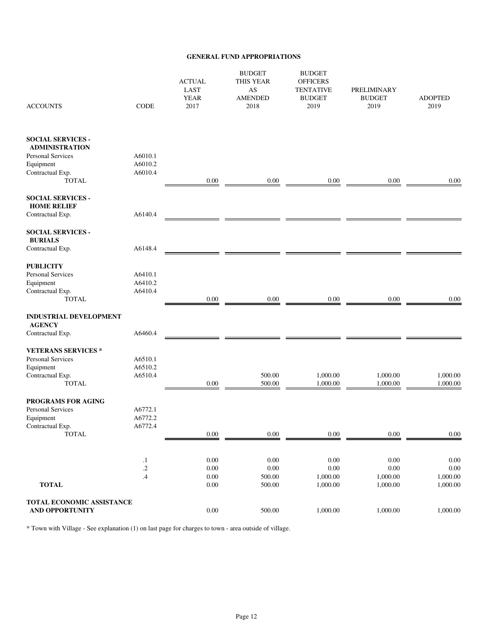| <b>ACCOUNTS</b>                                                                            | <b>CODE</b>        | <b>ACTUAL</b><br><b>LAST</b><br><b>YEAR</b><br>2017 | <b>BUDGET</b><br><b>THIS YEAR</b><br>AS<br><b>AMENDED</b><br>2018 | <b>BUDGET</b><br><b>OFFICERS</b><br><b>TENTATIVE</b><br><b>BUDGET</b><br>2019 | PRELIMINARY<br><b>BUDGET</b><br>2019 | <b>ADOPTED</b><br>2019 |
|--------------------------------------------------------------------------------------------|--------------------|-----------------------------------------------------|-------------------------------------------------------------------|-------------------------------------------------------------------------------|--------------------------------------|------------------------|
| <b>SOCIAL SERVICES -</b><br><b>ADMINISTRATION</b><br><b>Personal Services</b><br>Equipment | A6010.1<br>A6010.2 |                                                     |                                                                   |                                                                               |                                      |                        |
| Contractual Exp.<br><b>TOTAL</b>                                                           | A6010.4            | 0.00                                                | 0.00                                                              | 0.00                                                                          | 0.00                                 | 0.00                   |
| <b>SOCIAL SERVICES -</b><br><b>HOME RELIEF</b>                                             |                    |                                                     |                                                                   |                                                                               |                                      |                        |
| Contractual Exp.                                                                           | A6140.4            |                                                     |                                                                   |                                                                               |                                      |                        |
| <b>SOCIAL SERVICES -</b><br><b>BURIALS</b>                                                 |                    |                                                     |                                                                   |                                                                               |                                      |                        |
| Contractual Exp.                                                                           | A6148.4            |                                                     |                                                                   |                                                                               |                                      |                        |
| <b>PUBLICITY</b><br><b>Personal Services</b>                                               | A6410.1            |                                                     |                                                                   |                                                                               |                                      |                        |
| Equipment                                                                                  | A6410.2            |                                                     |                                                                   |                                                                               |                                      |                        |
| Contractual Exp.                                                                           | A6410.4            |                                                     |                                                                   |                                                                               |                                      |                        |
| <b>TOTAL</b>                                                                               |                    | $0.00\,$                                            | 0.00                                                              | 0.00                                                                          | $0.00\,$                             | 0.00                   |
| <b>INDUSTRIAL DEVELOPMENT</b><br><b>AGENCY</b>                                             |                    |                                                     |                                                                   |                                                                               |                                      |                        |
| Contractual Exp.                                                                           | A6460.4            |                                                     |                                                                   |                                                                               |                                      |                        |
| <b>VETERANS SERVICES*</b><br><b>Personal Services</b>                                      | A6510.1            |                                                     |                                                                   |                                                                               |                                      |                        |
| Equipment                                                                                  | A6510.2            |                                                     |                                                                   |                                                                               |                                      |                        |
| Contractual Exp.                                                                           | A6510.4            |                                                     | 500.00                                                            | 1,000.00                                                                      | 1,000.00                             | 1,000.00               |
| <b>TOTAL</b>                                                                               |                    | $0.00\,$                                            | 500.00                                                            | 1,000.00                                                                      | 1,000.00                             | 1,000.00               |
| <b>PROGRAMS FOR AGING</b><br>Personal Services                                             | A6772.1            |                                                     |                                                                   |                                                                               |                                      |                        |
| Equipment                                                                                  | A6772.2            |                                                     |                                                                   |                                                                               |                                      |                        |
| Contractual Exp.                                                                           | A6772.4            |                                                     |                                                                   |                                                                               |                                      |                        |
| TOTAL                                                                                      |                    | 0.00                                                | $0.00\,$                                                          | $0.00\,$                                                                      | 0.00                                 | 0.00                   |
|                                                                                            | $\cdot$            | $0.00\,$                                            | 0.00                                                              | $0.00\,$                                                                      | 0.00                                 | 0.00                   |
|                                                                                            | $\cdot$ 2          | $0.00\,$                                            | $0.00\,$                                                          | $0.00\,$                                                                      | 0.00                                 | $0.00\,$               |
|                                                                                            | .4                 | $0.00\,$                                            | 500.00                                                            | 1,000.00                                                                      | 1,000.00                             | 1,000.00               |
| <b>TOTAL</b>                                                                               |                    | $0.00\,$                                            | 500.00                                                            | 1,000.00                                                                      | 1,000.00                             | 1,000.00               |
| TOTAL ECONOMIC ASSISTANCE<br><b>AND OPPORTUNITY</b>                                        |                    | $0.00\,$                                            | 500.00                                                            | 1,000.00                                                                      | 1,000.00                             | 1,000.00               |
|                                                                                            |                    |                                                     |                                                                   |                                                                               |                                      |                        |

\* Town with Village - See explanation (1) on last page for charges to town - area outside of village.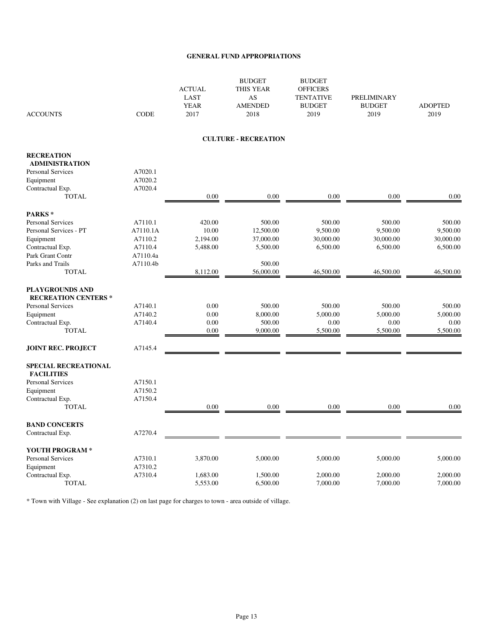| <b>ACCOUNTS</b>                                       | <b>CODE</b> | <b>ACTUAL</b><br>LAST<br><b>YEAR</b><br>2017 | <b>BUDGET</b><br>THIS YEAR<br>AS<br><b>AMENDED</b><br>2018 | <b>BUDGET</b><br><b>OFFICERS</b><br><b>TENTATIVE</b><br><b>BUDGET</b><br>2019 | PRELIMINARY<br><b>BUDGET</b><br>2019 | <b>ADOPTED</b><br>2019 |
|-------------------------------------------------------|-------------|----------------------------------------------|------------------------------------------------------------|-------------------------------------------------------------------------------|--------------------------------------|------------------------|
|                                                       |             |                                              | <b>CULTURE - RECREATION</b>                                |                                                                               |                                      |                        |
| <b>RECREATION</b>                                     |             |                                              |                                                            |                                                                               |                                      |                        |
| <b>ADMINISTRATION</b>                                 | A7020.1     |                                              |                                                            |                                                                               |                                      |                        |
| <b>Personal Services</b><br>Equipment                 | A7020.2     |                                              |                                                            |                                                                               |                                      |                        |
| Contractual Exp.                                      | A7020.4     |                                              |                                                            |                                                                               |                                      |                        |
| <b>TOTAL</b>                                          |             | 0.00                                         | 0.00                                                       | 0.00                                                                          | 0.00                                 | $0.00\,$               |
| PARKS*                                                |             |                                              |                                                            |                                                                               |                                      |                        |
| <b>Personal Services</b>                              | A7110.1     | 420.00                                       | 500.00                                                     | 500.00                                                                        | 500.00                               | 500.00                 |
| Personal Services - PT                                | A7110.1A    | 10.00                                        | 12,500.00                                                  | 9,500.00                                                                      | 9,500.00                             | 9,500.00               |
| Equipment                                             | A7110.2     | 2,194.00                                     | 37,000.00                                                  | 30,000.00                                                                     | 30,000.00                            | 30,000.00              |
| Contractual Exp.                                      | A7110.4     | 5,488.00                                     | 5,500.00                                                   | 6,500.00                                                                      | 6,500.00                             | 6,500.00               |
| Park Grant Contr                                      | A7110.4a    |                                              |                                                            |                                                                               |                                      |                        |
| Parks and Trails                                      | A7110.4b    |                                              | 500.00                                                     |                                                                               |                                      |                        |
| <b>TOTAL</b>                                          |             | 8,112.00                                     | 56,000.00                                                  | 46,500.00                                                                     | 46,500.00                            | 46,500.00              |
| <b>PLAYGROUNDS AND</b><br><b>RECREATION CENTERS *</b> |             |                                              |                                                            |                                                                               |                                      |                        |
| Personal Services                                     | A7140.1     | 0.00                                         | 500.00                                                     | 500.00                                                                        | 500.00                               | 500.00                 |
| Equipment                                             | A7140.2     | 0.00                                         | 8,000.00                                                   | 5,000.00                                                                      | 5,000.00                             | 5,000.00               |
| Contractual Exp.                                      | A7140.4     | 0.00                                         | 500.00                                                     | 0.00                                                                          | 0.00                                 | 0.00                   |
| <b>TOTAL</b>                                          |             | 0.00                                         | 9,000.00                                                   | 5,500.00                                                                      | 5,500.00                             | 5,500.00               |
| <b>JOINT REC. PROJECT</b>                             | A7145.4     |                                              |                                                            |                                                                               |                                      |                        |
| <b>SPECIAL RECREATIONAL</b><br><b>FACILITIES</b>      |             |                                              |                                                            |                                                                               |                                      |                        |
| <b>Personal Services</b>                              | A7150.1     |                                              |                                                            |                                                                               |                                      |                        |
| Equipment                                             | A7150.2     |                                              |                                                            |                                                                               |                                      |                        |
| Contractual Exp.                                      | A7150.4     |                                              |                                                            |                                                                               |                                      |                        |
| <b>TOTAL</b>                                          |             | 0.00                                         | 0.00                                                       | 0.00                                                                          | 0.00                                 | 0.00                   |
| <b>BAND CONCERTS</b>                                  |             |                                              |                                                            |                                                                               |                                      |                        |
| Contractual Exp.                                      | A7270.4     |                                              |                                                            |                                                                               |                                      |                        |
| YOUTH PROGRAM *                                       |             |                                              |                                                            |                                                                               |                                      |                        |
| Personal Services                                     | A7310.1     | 3,870.00                                     | 5,000.00                                                   | 5,000.00                                                                      | 5,000.00                             | 5,000.00               |
| Equipment                                             | A7310.2     |                                              |                                                            |                                                                               |                                      |                        |
| Contractual Exp.                                      | A7310.4     | 1,683.00                                     | 1,500.00                                                   | 2,000.00                                                                      | 2,000.00                             | 2,000.00               |
| <b>TOTAL</b>                                          |             | 5,553.00                                     | 6,500.00                                                   | 7,000.00                                                                      | 7,000.00                             | 7,000.00               |

\* Town with Village - See explanation (2) on last page for charges to town - area outside of village.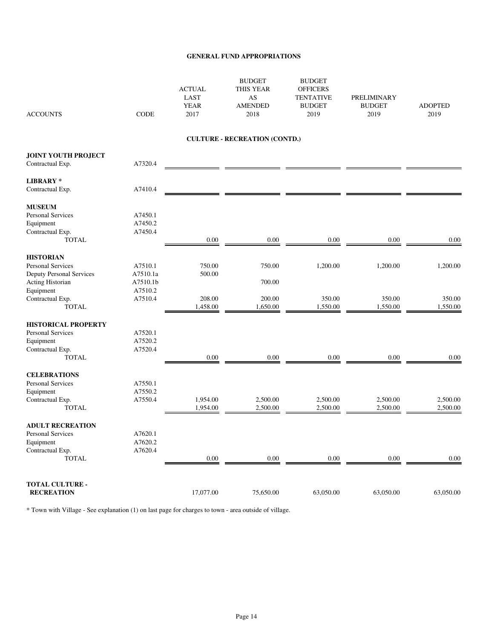| <b>ACCOUNTS</b>                                                                                  | <b>CODE</b>                     | <b>ACTUAL</b><br><b>LAST</b><br><b>YEAR</b><br>2017 | <b>BUDGET</b><br><b>THIS YEAR</b><br>AS<br><b>AMENDED</b><br>2018 | <b>BUDGET</b><br><b>OFFICERS</b><br><b>TENTATIVE</b><br><b>BUDGET</b><br>2019 | <b>PRELIMINARY</b><br><b>BUDGET</b><br>2019 | <b>ADOPTED</b><br>2019 |
|--------------------------------------------------------------------------------------------------|---------------------------------|-----------------------------------------------------|-------------------------------------------------------------------|-------------------------------------------------------------------------------|---------------------------------------------|------------------------|
|                                                                                                  |                                 |                                                     | <b>CULTURE - RECREATION (CONTD.)</b>                              |                                                                               |                                             |                        |
| <b>JOINT YOUTH PROJECT</b><br>Contractual Exp.                                                   | A7320.4                         |                                                     |                                                                   |                                                                               |                                             |                        |
| <b>LIBRARY*</b><br>Contractual Exp.                                                              | A7410.4                         |                                                     |                                                                   |                                                                               |                                             |                        |
| <b>MUSEUM</b><br>Personal Services<br>Equipment<br>Contractual Exp.<br><b>TOTAL</b>              | A7450.1<br>A7450.2<br>A7450.4   | 0.00                                                | 0.00                                                              | 0.00                                                                          | 0.00                                        | 0.00                   |
| <b>HISTORIAN</b><br>Personal Services<br><b>Deputy Personal Services</b><br>Acting Historian     | A7510.1<br>A7510.1a<br>A7510.1b | 750.00<br>500.00                                    | 750.00<br>700.00                                                  | 1,200.00                                                                      | 1,200.00                                    | 1,200.00               |
| Equipment<br>Contractual Exp.<br><b>TOTAL</b>                                                    | A7510.2<br>A7510.4              | 208.00<br>1,458.00                                  | 200.00<br>1,650.00                                                | 350.00<br>1,550.00                                                            | 350.00<br>1,550.00                          | 350.00<br>1,550.00     |
| <b>HISTORICAL PROPERTY</b><br>Personal Services<br>Equipment<br>Contractual Exp.<br><b>TOTAL</b> | A7520.1<br>A7520.2<br>A7520.4   | 0.00                                                | 0.00                                                              | 0.00                                                                          | 0.00                                        | 0.00                   |
| <b>CELEBRATIONS</b><br><b>Personal Services</b><br>Equipment<br>Contractual Exp.<br><b>TOTAL</b> | A7550.1<br>A7550.2<br>A7550.4   | 1,954.00<br>1,954.00                                | 2,500.00<br>2,500.00                                              | 2,500.00<br>2,500.00                                                          | 2,500.00<br>2,500.00                        | 2,500.00<br>2,500.00   |
| <b>ADULT RECREATION</b><br>Personal Services<br>Equipment<br>Contractual Exp.<br><b>TOTAL</b>    | A7620.1<br>A7620.2<br>A7620.4   | 0.00                                                | 0.00                                                              | 0.00                                                                          | 0.00                                        | 0.00                   |
| <b>TOTAL CULTURE -</b><br><b>RECREATION</b>                                                      |                                 | 17,077.00                                           | 75,650.00                                                         | 63,050.00                                                                     | 63,050.00                                   | 63,050.00              |

\* Town with Village - See explanation (1) on last page for charges to town - area outside of village.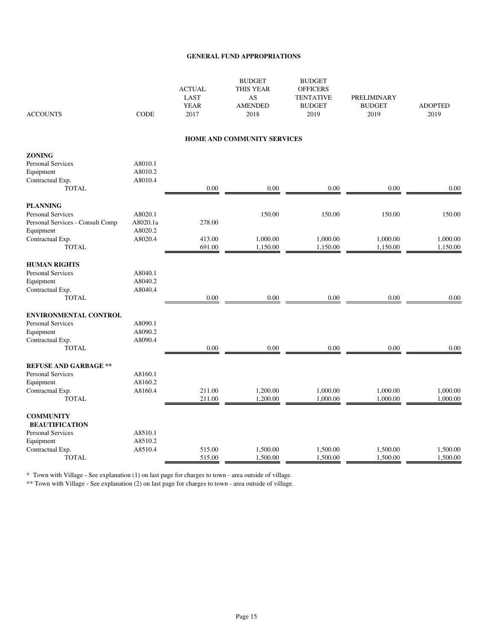| <b>ACCOUNTS</b>                  | <b>CODE</b> | <b>ACTUAL</b><br>LAST<br><b>YEAR</b><br>2017 | <b>BUDGET</b><br><b>THIS YEAR</b><br>AS<br><b>AMENDED</b><br>2018 | <b>BUDGET</b><br><b>OFFICERS</b><br><b>TENTATIVE</b><br><b>BUDGET</b><br>2019 | <b>PRELIMINARY</b><br><b>BUDGET</b><br>2019 | <b>ADOPTED</b><br>2019 |
|----------------------------------|-------------|----------------------------------------------|-------------------------------------------------------------------|-------------------------------------------------------------------------------|---------------------------------------------|------------------------|
|                                  |             |                                              | HOME AND COMMUNITY SERVICES                                       |                                                                               |                                             |                        |
| <b>ZONING</b>                    |             |                                              |                                                                   |                                                                               |                                             |                        |
| Personal Services                | A8010.1     |                                              |                                                                   |                                                                               |                                             |                        |
| Equipment                        | A8010.2     |                                              |                                                                   |                                                                               |                                             |                        |
| Contractual Exp.                 | A8010.4     |                                              |                                                                   |                                                                               |                                             |                        |
| <b>TOTAL</b>                     |             | 0.00                                         | 0.00                                                              | 0.00                                                                          | 0.00                                        | 0.00                   |
| <b>PLANNING</b>                  |             |                                              |                                                                   |                                                                               |                                             |                        |
| <b>Personal Services</b>         | A8020.1     |                                              | 150.00                                                            | 150.00                                                                        | 150.00                                      | 150.00                 |
| Personal Services - Consult Comp | A8020.1a    | 278.00                                       |                                                                   |                                                                               |                                             |                        |
| Equipment                        | A8020.2     |                                              |                                                                   |                                                                               |                                             |                        |
| Contractual Exp.                 | A8020.4     | 413.00                                       | 1,000.00                                                          | 1,000.00                                                                      | 1,000.00                                    | 1,000.00               |
| <b>TOTAL</b>                     |             | 691.00                                       | 1,150.00                                                          | 1,150.00                                                                      | 1,150.00                                    | 1,150.00               |
| <b>HUMAN RIGHTS</b>              |             |                                              |                                                                   |                                                                               |                                             |                        |
| Personal Services                | A8040.1     |                                              |                                                                   |                                                                               |                                             |                        |
| Equipment                        | A8040.2     |                                              |                                                                   |                                                                               |                                             |                        |
| Contractual Exp.                 | A8040.4     |                                              |                                                                   |                                                                               |                                             |                        |
| <b>TOTAL</b>                     |             | 0.00                                         | 0.00                                                              | 0.00                                                                          | 0.00                                        | 0.00                   |
| <b>ENVIRONMENTAL CONTROL</b>     |             |                                              |                                                                   |                                                                               |                                             |                        |
| <b>Personal Services</b>         | A8090.1     |                                              |                                                                   |                                                                               |                                             |                        |
| Equipment                        | A8090.2     |                                              |                                                                   |                                                                               |                                             |                        |
| Contractual Exp.                 | A8090.4     |                                              |                                                                   |                                                                               |                                             |                        |
| <b>TOTAL</b>                     |             | 0.00                                         | 0.00                                                              | 0.00                                                                          | 0.00                                        | 0.00                   |
| <b>REFUSE AND GARBAGE **</b>     |             |                                              |                                                                   |                                                                               |                                             |                        |
| Personal Services                | A8160.1     |                                              |                                                                   |                                                                               |                                             |                        |
| Equipment                        | A8160.2     |                                              |                                                                   |                                                                               |                                             |                        |
| Contractual Exp.                 | A8160.4     | 211.00                                       | 1,200.00                                                          | 1,000.00                                                                      | 1,000.00                                    | 1,000.00               |
| <b>TOTAL</b>                     |             | 211.00                                       | 1,200.00                                                          | 1,000.00                                                                      | 1,000.00                                    | 1,000.00               |
| <b>COMMUNITY</b>                 |             |                                              |                                                                   |                                                                               |                                             |                        |
| <b>BEAUTIFICATION</b>            |             |                                              |                                                                   |                                                                               |                                             |                        |
| Personal Services                | A8510.1     |                                              |                                                                   |                                                                               |                                             |                        |
| Equipment                        | A8510.2     |                                              |                                                                   |                                                                               |                                             |                        |
| Contractual Exp.                 | A8510.4     | 515.00                                       | 1,500.00                                                          | 1,500.00                                                                      | 1,500.00                                    | 1,500.00               |
| <b>TOTAL</b>                     |             | 515.00                                       | 1,500.00                                                          | 1,500.00                                                                      | 1,500.00                                    | 1,500.00               |

\* Town with Village - See explanation (1) on last page for charges to town - area outside of village.

\*\* Town with Village - See explanation (2) on last page for charges to town - area outside of village.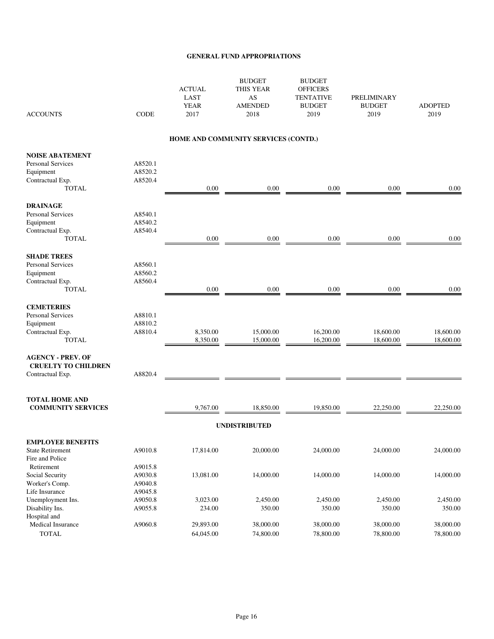| <b>ACCOUNTS</b>                                                                                     | <b>CODE</b>                   | <b>ACTUAL</b><br><b>LAST</b><br><b>YEAR</b><br>2017 | <b>BUDGET</b><br>THIS YEAR<br>AS<br><b>AMENDED</b><br>2018 | <b>BUDGET</b><br><b>OFFICERS</b><br><b>TENTATIVE</b><br><b>BUDGET</b><br>2019 | <b>PRELIMINARY</b><br><b>BUDGET</b><br>2019 | <b>ADOPTED</b><br>2019 |
|-----------------------------------------------------------------------------------------------------|-------------------------------|-----------------------------------------------------|------------------------------------------------------------|-------------------------------------------------------------------------------|---------------------------------------------|------------------------|
|                                                                                                     |                               |                                                     | HOME AND COMMUNITY SERVICES (CONTD.)                       |                                                                               |                                             |                        |
| <b>NOISE ABATEMENT</b><br><b>Personal Services</b><br>Equipment<br>Contractual Exp.<br><b>TOTAL</b> | A8520.1<br>A8520.2<br>A8520.4 | 0.00                                                | 0.00                                                       | 0.00                                                                          | 0.00                                        | 0.00                   |
| <b>DRAINAGE</b><br><b>Personal Services</b><br>Equipment<br>Contractual Exp.<br><b>TOTAL</b>        | A8540.1<br>A8540.2<br>A8540.4 | $0.00\,$                                            | 0.00                                                       | $0.00\,$                                                                      | $0.00\,$                                    | $0.00\,$               |
| <b>SHADE TREES</b><br><b>Personal Services</b><br>Equipment<br>Contractual Exp.<br><b>TOTAL</b>     | A8560.1<br>A8560.2<br>A8560.4 | 0.00                                                | 0.00                                                       | 0.00                                                                          | 0.00                                        | 0.00                   |
| <b>CEMETERIES</b><br>Personal Services<br>Equipment<br>Contractual Exp.<br><b>TOTAL</b>             | A8810.1<br>A8810.2<br>A8810.4 | 8,350.00<br>8,350.00                                | 15,000.00<br>15,000.00                                     | 16,200.00<br>16,200.00                                                        | 18,600.00<br>18,600.00                      | 18,600.00<br>18,600.00 |
| <b>AGENCY - PREV. OF</b><br><b>CRUELTY TO CHILDREN</b><br>Contractual Exp.                          | A8820.4                       |                                                     |                                                            |                                                                               |                                             |                        |
| <b>TOTAL HOME AND</b><br><b>COMMUNITY SERVICES</b>                                                  |                               | 9,767.00                                            | 18,850.00                                                  | 19,850.00                                                                     | 22,250.00                                   | 22,250.00              |
|                                                                                                     |                               |                                                     | <b>UNDISTRIBUTED</b>                                       |                                                                               |                                             |                        |
| <b>EMPLOYEE BENEFITS</b><br><b>State Retirement</b><br>Fire and Police                              | A9010.8                       | 17,814.00                                           | 20,000.00                                                  | 24,000.00                                                                     | 24,000.00                                   | 24,000.00              |
| Retirement<br>Social Security<br>Worker's Comp.                                                     | A9015.8<br>A9030.8<br>A9040.8 | 13,081.00                                           | 14,000.00                                                  | 14,000.00                                                                     | 14,000.00                                   | 14,000.00              |
| Life Insurance<br>Unemployment Ins.<br>Disability Ins.<br>Hospital and                              | A9045.8<br>A9050.8<br>A9055.8 | 3,023.00<br>234.00                                  | 2,450.00<br>350.00                                         | 2,450.00<br>350.00                                                            | 2,450.00<br>350.00                          | 2,450.00<br>350.00     |
| Medical Insurance<br><b>TOTAL</b>                                                                   | A9060.8                       | 29,893.00<br>64,045.00                              | 38,000.00<br>74,800.00                                     | 38,000.00<br>78,800.00                                                        | 38,000.00<br>78,800.00                      | 38,000.00<br>78,800.00 |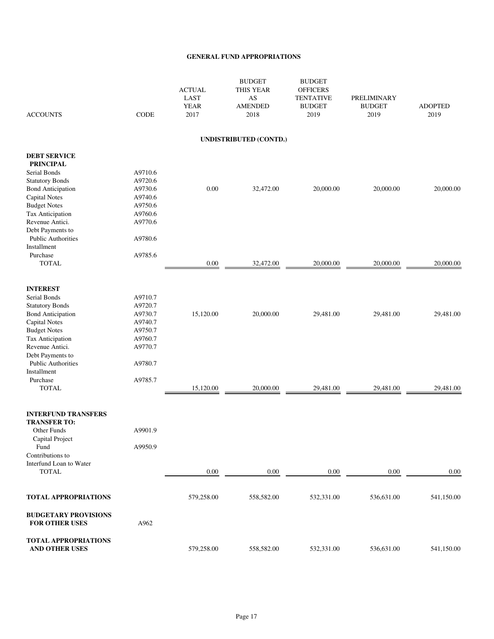| <b>ACCOUNTS</b>                                      | <b>CODE</b> | <b>ACTUAL</b><br><b>LAST</b><br><b>YEAR</b><br>2017 | <b>BUDGET</b><br><b>THIS YEAR</b><br>AS<br><b>AMENDED</b><br>2018 | <b>BUDGET</b><br><b>OFFICERS</b><br><b>TENTATIVE</b><br><b>BUDGET</b><br>2019 | PRELIMINARY<br><b>BUDGET</b><br>2019 | <b>ADOPTED</b><br>2019 |
|------------------------------------------------------|-------------|-----------------------------------------------------|-------------------------------------------------------------------|-------------------------------------------------------------------------------|--------------------------------------|------------------------|
|                                                      |             |                                                     | UNDISTRIBUTED (CONTD.)                                            |                                                                               |                                      |                        |
| <b>DEBT SERVICE</b>                                  |             |                                                     |                                                                   |                                                                               |                                      |                        |
| <b>PRINCIPAL</b>                                     | A9710.6     |                                                     |                                                                   |                                                                               |                                      |                        |
| Serial Bonds                                         | A9720.6     |                                                     |                                                                   |                                                                               |                                      |                        |
| <b>Statutory Bonds</b><br><b>Bond Anticipation</b>   | A9730.6     | $0.00\,$                                            | 32,472.00                                                         | 20,000.00                                                                     | 20,000.00                            | 20,000.00              |
| <b>Capital Notes</b>                                 | A9740.6     |                                                     |                                                                   |                                                                               |                                      |                        |
| <b>Budget Notes</b>                                  | A9750.6     |                                                     |                                                                   |                                                                               |                                      |                        |
| Tax Anticipation                                     | A9760.6     |                                                     |                                                                   |                                                                               |                                      |                        |
| Revenue Antici.                                      | A9770.6     |                                                     |                                                                   |                                                                               |                                      |                        |
| Debt Payments to                                     |             |                                                     |                                                                   |                                                                               |                                      |                        |
| <b>Public Authorities</b>                            | A9780.6     |                                                     |                                                                   |                                                                               |                                      |                        |
| Installment                                          |             |                                                     |                                                                   |                                                                               |                                      |                        |
| Purchase                                             | A9785.6     |                                                     |                                                                   |                                                                               |                                      |                        |
| <b>TOTAL</b>                                         |             | $0.00\,$                                            | 32,472.00                                                         | 20,000.00                                                                     | 20,000.00                            | 20,000.00              |
| <b>INTEREST</b>                                      |             |                                                     |                                                                   |                                                                               |                                      |                        |
| Serial Bonds                                         | A9710.7     |                                                     |                                                                   |                                                                               |                                      |                        |
| <b>Statutory Bonds</b>                               | A9720.7     |                                                     |                                                                   |                                                                               |                                      |                        |
| <b>Bond Anticipation</b>                             | A9730.7     | 15,120.00                                           | 20,000.00                                                         | 29,481.00                                                                     | 29,481.00                            | 29,481.00              |
| <b>Capital Notes</b>                                 | A9740.7     |                                                     |                                                                   |                                                                               |                                      |                        |
| <b>Budget Notes</b>                                  | A9750.7     |                                                     |                                                                   |                                                                               |                                      |                        |
| Tax Anticipation                                     | A9760.7     |                                                     |                                                                   |                                                                               |                                      |                        |
| Revenue Antici.                                      | A9770.7     |                                                     |                                                                   |                                                                               |                                      |                        |
| Debt Payments to                                     |             |                                                     |                                                                   |                                                                               |                                      |                        |
| <b>Public Authorities</b>                            | A9780.7     |                                                     |                                                                   |                                                                               |                                      |                        |
| Installment                                          |             |                                                     |                                                                   |                                                                               |                                      |                        |
| Purchase                                             | A9785.7     |                                                     |                                                                   |                                                                               |                                      |                        |
| <b>TOTAL</b>                                         |             | 15,120.00                                           | 20,000.00                                                         | 29,481.00                                                                     | 29,481.00                            | 29,481.00              |
| <b>INTERFUND TRANSFERS</b>                           |             |                                                     |                                                                   |                                                                               |                                      |                        |
| <b>TRANSFER TO:</b>                                  |             |                                                     |                                                                   |                                                                               |                                      |                        |
| Other Funds                                          | A9901.9     |                                                     |                                                                   |                                                                               |                                      |                        |
| Capital Project                                      |             |                                                     |                                                                   |                                                                               |                                      |                        |
| Fund                                                 | A9950.9     |                                                     |                                                                   |                                                                               |                                      |                        |
| Contributions to                                     |             |                                                     |                                                                   |                                                                               |                                      |                        |
| Interfund Loan to Water                              |             |                                                     |                                                                   |                                                                               |                                      |                        |
| <b>TOTAL</b>                                         |             | 0.00                                                | 0.00                                                              | 0.00                                                                          | 0.00                                 | 0.00                   |
| <b>TOTAL APPROPRIATIONS</b>                          |             | 579,258.00                                          | 558,582.00                                                        | 532,331.00                                                                    | 536,631.00                           | 541,150.00             |
| <b>BUDGETARY PROVISIONS</b><br><b>FOR OTHER USES</b> | A962        |                                                     |                                                                   |                                                                               |                                      |                        |
| <b>TOTAL APPROPRIATIONS</b>                          |             |                                                     |                                                                   |                                                                               |                                      |                        |
| AND OTHER USES                                       |             | 579,258.00                                          | 558,582.00                                                        | 532,331.00                                                                    | 536,631.00                           | 541,150.00             |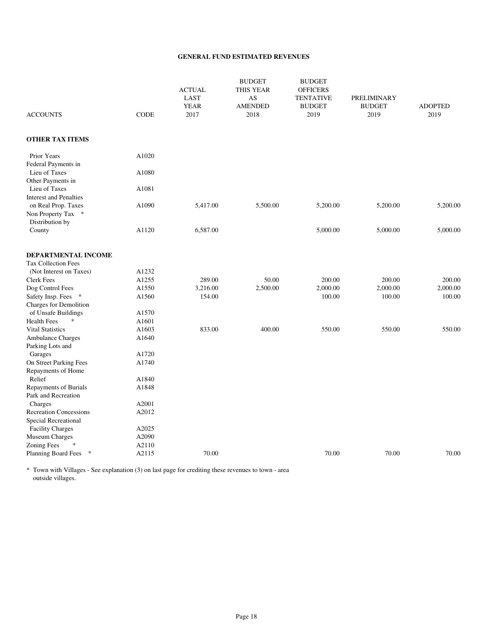#### **GENERAL FUND ESTIMATED REVENUES**

|                                                              |             | <b>ACTUAL</b><br>LAST<br><b>YEAR</b> | <b>BUDGET</b><br><b>THIS YEAR</b><br>AS<br><b>AMENDED</b> | <b>BUDGET</b><br><b>OFFICERS</b><br><b>TENTATIVE</b><br><b>BUDGET</b> | <b>PRELIMINARY</b><br><b>BUDGET</b> | <b>ADOPTED</b> |
|--------------------------------------------------------------|-------------|--------------------------------------|-----------------------------------------------------------|-----------------------------------------------------------------------|-------------------------------------|----------------|
| <b>ACCOUNTS</b>                                              | <b>CODE</b> | 2017                                 | 2018                                                      | 2019                                                                  | 2019                                | 2019           |
| <b>OTHER TAX ITEMS</b>                                       |             |                                      |                                                           |                                                                       |                                     |                |
| Prior Years<br>Federal Payments in                           | A1020       |                                      |                                                           |                                                                       |                                     |                |
| Lieu of Taxes<br>Other Payments in                           | A1080       |                                      |                                                           |                                                                       |                                     |                |
| Lieu of Taxes<br><b>Interest and Penalties</b>               | A1081       |                                      |                                                           |                                                                       |                                     |                |
| on Real Prop. Taxes<br>Non Property Tax *<br>Distribution by | A1090       | 5,417.00                             | 5,500.00                                                  | 5,200.00                                                              | 5,200.00                            | 5,200.00       |
| County                                                       | A1120       | 6,587.00                             |                                                           | 5,000.00                                                              | 5,000.00                            | 5,000.00       |
| DEPARTMENTAL INCOME                                          |             |                                      |                                                           |                                                                       |                                     |                |
| <b>Tax Collection Fees</b>                                   |             |                                      |                                                           |                                                                       |                                     |                |
| (Not Interest on Taxes)                                      | A1232       |                                      |                                                           |                                                                       |                                     |                |
| <b>Clerk Fees</b>                                            | A1255       | 289.00                               | 50.00                                                     | 200.00                                                                | 200.00                              | 200.00         |
| Dog Control Fees                                             | A1550       | 3,216.00                             | 2,500.00                                                  | 2,000.00                                                              | 2,000.00                            | 2,000.00       |
| Safety Insp. Fees<br>$\ast$<br>Charges for Demolition        | A1560       | 154.00                               |                                                           | 100.00                                                                | 100.00                              | 100.00         |
| of Unsafe Buildings                                          | A1570       |                                      |                                                           |                                                                       |                                     |                |
| $\ast$<br><b>Health Fees</b>                                 | A1601       |                                      |                                                           |                                                                       |                                     |                |
| <b>Vital Statistics</b>                                      | A1603       | 833.00                               | 400.00                                                    | 550.00                                                                | 550.00                              | 550.00         |
| Ambulance Charges<br>Parking Lots and                        | A1640       |                                      |                                                           |                                                                       |                                     |                |
| Garages                                                      | A1720       |                                      |                                                           |                                                                       |                                     |                |
| On Street Parking Fees<br>Repayments of Home                 | A1740       |                                      |                                                           |                                                                       |                                     |                |
| Relief                                                       | A1840       |                                      |                                                           |                                                                       |                                     |                |
| Repayments of Burials<br>Park and Recreation                 | A1848       |                                      |                                                           |                                                                       |                                     |                |
| Charges                                                      | A2001       |                                      |                                                           |                                                                       |                                     |                |
| <b>Recreation Concessions</b><br>Special Recreational        | A2012       |                                      |                                                           |                                                                       |                                     |                |
| <b>Facility Charges</b>                                      | A2025       |                                      |                                                           |                                                                       |                                     |                |
| Museum Charges                                               | A2090       |                                      |                                                           |                                                                       |                                     |                |
| <b>Zoning Fees</b><br>$\ast$                                 | A2110       |                                      |                                                           |                                                                       |                                     |                |
| Planning Board Fees *                                        | A2115       | 70.00                                |                                                           | 70.00                                                                 | 70.00                               | 70.00          |

\* Town with Villages - See explanation (3) on last page for crediting these revenues to town - area outside villages.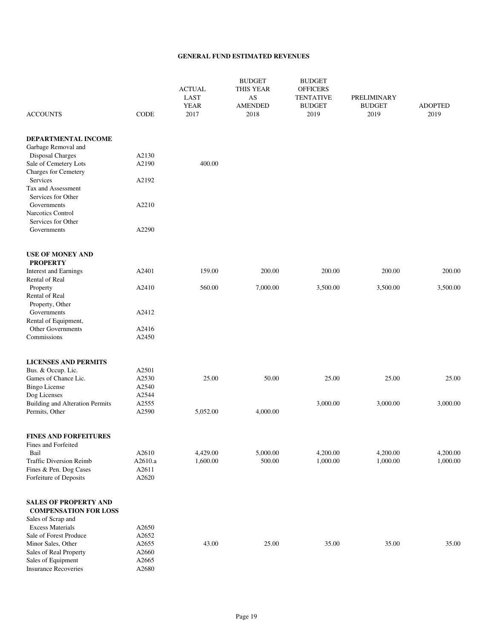#### **GENERAL FUND ESTIMATED REVENUES**

| <b>ACCOUNTS</b>                                          | <b>CODE</b>    | <b>ACTUAL</b><br>LAST<br><b>YEAR</b><br>2017 | <b>BUDGET</b><br>THIS YEAR<br>AS<br><b>AMENDED</b><br>2018 | <b>BUDGET</b><br><b>OFFICERS</b><br><b>TENTATIVE</b><br><b>BUDGET</b><br>2019 | PRELIMINARY<br><b>BUDGET</b><br>2019 | <b>ADOPTED</b><br>2019 |
|----------------------------------------------------------|----------------|----------------------------------------------|------------------------------------------------------------|-------------------------------------------------------------------------------|--------------------------------------|------------------------|
|                                                          |                |                                              |                                                            |                                                                               |                                      |                        |
| DEPARTMENTAL INCOME<br>Garbage Removal and               |                |                                              |                                                            |                                                                               |                                      |                        |
| <b>Disposal Charges</b>                                  | A2130          |                                              |                                                            |                                                                               |                                      |                        |
| Sale of Cemetery Lots                                    | A2190          | 400.00                                       |                                                            |                                                                               |                                      |                        |
| Charges for Cemetery                                     |                |                                              |                                                            |                                                                               |                                      |                        |
| Services                                                 | A2192          |                                              |                                                            |                                                                               |                                      |                        |
| Tax and Assessment                                       |                |                                              |                                                            |                                                                               |                                      |                        |
| Services for Other<br>Governments                        | A2210          |                                              |                                                            |                                                                               |                                      |                        |
| <b>Narcotics Control</b>                                 |                |                                              |                                                            |                                                                               |                                      |                        |
| Services for Other                                       |                |                                              |                                                            |                                                                               |                                      |                        |
| Governments                                              | A2290          |                                              |                                                            |                                                                               |                                      |                        |
|                                                          |                |                                              |                                                            |                                                                               |                                      |                        |
| <b>USE OF MONEY AND</b><br><b>PROPERTY</b>               |                |                                              |                                                            |                                                                               |                                      |                        |
| <b>Interest and Earnings</b>                             | A2401          | 159.00                                       | 200.00                                                     | 200.00                                                                        | 200.00                               | 200.00                 |
| <b>Rental of Real</b>                                    |                |                                              |                                                            |                                                                               |                                      |                        |
| Property                                                 | A2410          | 560.00                                       | 7,000.00                                                   | 3,500.00                                                                      | 3,500.00                             | 3,500.00               |
| Rental of Real                                           |                |                                              |                                                            |                                                                               |                                      |                        |
| Property, Other                                          |                |                                              |                                                            |                                                                               |                                      |                        |
| Governments                                              | A2412          |                                              |                                                            |                                                                               |                                      |                        |
| Rental of Equipment,<br>Other Governments                | A2416          |                                              |                                                            |                                                                               |                                      |                        |
| Commissions                                              | A2450          |                                              |                                                            |                                                                               |                                      |                        |
|                                                          |                |                                              |                                                            |                                                                               |                                      |                        |
| <b>LICENSES AND PERMITS</b>                              |                |                                              |                                                            |                                                                               |                                      |                        |
| Bus. & Occup. Lic.                                       | A2501          |                                              |                                                            |                                                                               |                                      |                        |
| Games of Chance Lic.                                     | A2530          | 25.00                                        | 50.00                                                      | 25.00                                                                         | 25.00                                | 25.00                  |
| <b>Bingo License</b>                                     | A2540          |                                              |                                                            |                                                                               |                                      |                        |
| Dog Licenses                                             | A2544<br>A2555 |                                              |                                                            |                                                                               |                                      |                        |
| <b>Building and Alteration Permits</b><br>Permits, Other | A2590          | 5,052.00                                     | 4,000.00                                                   | 3,000.00                                                                      | 3,000.00                             | 3,000.00               |
|                                                          |                |                                              |                                                            |                                                                               |                                      |                        |
| <b>FINES AND FORFEITURES</b>                             |                |                                              |                                                            |                                                                               |                                      |                        |
| Fines and Forfeited                                      |                |                                              |                                                            |                                                                               |                                      |                        |
| Bail                                                     | A2610          | 4,429.00                                     | 5,000.00                                                   | 4,200.00                                                                      | 4,200.00                             | 4,200.00               |
| <b>Traffic Diversion Reimb</b>                           | A2610.a        | 1,600.00                                     | 500.00                                                     | 1,000.00                                                                      | 1,000.00                             | 1,000.00               |
| Fines & Pen. Dog Cases<br>Forfeiture of Deposits         | A2611<br>A2620 |                                              |                                                            |                                                                               |                                      |                        |
|                                                          |                |                                              |                                                            |                                                                               |                                      |                        |
| <b>SALES OF PROPERTY AND</b>                             |                |                                              |                                                            |                                                                               |                                      |                        |
| <b>COMPENSATION FOR LOSS</b>                             |                |                                              |                                                            |                                                                               |                                      |                        |
| Sales of Scrap and                                       |                |                                              |                                                            |                                                                               |                                      |                        |
| <b>Excess Materials</b>                                  | A2650          |                                              |                                                            |                                                                               |                                      |                        |
| Sale of Forest Produce                                   | A2652          |                                              |                                                            |                                                                               |                                      |                        |
| Minor Sales, Other<br>Sales of Real Property             | A2655<br>A2660 | 43.00                                        | 25.00                                                      | 35.00                                                                         | 35.00                                | 35.00                  |
| Sales of Equipment                                       | A2665          |                                              |                                                            |                                                                               |                                      |                        |
| <b>Insurance Recoveries</b>                              | A2680          |                                              |                                                            |                                                                               |                                      |                        |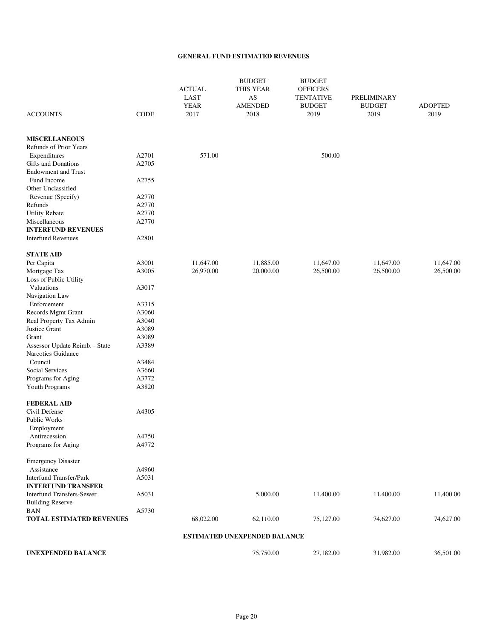#### **GENERAL FUND ESTIMATED REVENUES**

| <b>ACCOUNTS</b>                              | <b>CODE</b>    | <b>ACTUAL</b><br>LAST<br><b>YEAR</b><br>2017 | <b>BUDGET</b><br><b>THIS YEAR</b><br>AS<br><b>AMENDED</b><br>2018 | <b>BUDGET</b><br><b>OFFICERS</b><br><b>TENTATIVE</b><br><b>BUDGET</b><br>2019 | <b>PRELIMINARY</b><br><b>BUDGET</b><br>2019 | <b>ADOPTED</b><br>2019 |
|----------------------------------------------|----------------|----------------------------------------------|-------------------------------------------------------------------|-------------------------------------------------------------------------------|---------------------------------------------|------------------------|
|                                              |                |                                              |                                                                   |                                                                               |                                             |                        |
| <b>MISCELLANEOUS</b>                         |                |                                              |                                                                   |                                                                               |                                             |                        |
| <b>Refunds of Prior Years</b>                |                |                                              |                                                                   |                                                                               |                                             |                        |
| Expenditures                                 | A2701          | 571.00                                       |                                                                   | 500.00                                                                        |                                             |                        |
| <b>Gifts and Donations</b>                   | A2705          |                                              |                                                                   |                                                                               |                                             |                        |
| <b>Endowment and Trust</b>                   |                |                                              |                                                                   |                                                                               |                                             |                        |
| Fund Income                                  | A2755          |                                              |                                                                   |                                                                               |                                             |                        |
| Other Unclassified                           |                |                                              |                                                                   |                                                                               |                                             |                        |
| Revenue (Specify)                            | A2770          |                                              |                                                                   |                                                                               |                                             |                        |
| Refunds                                      | A2770          |                                              |                                                                   |                                                                               |                                             |                        |
| <b>Utility Rebate</b>                        | A2770<br>A2770 |                                              |                                                                   |                                                                               |                                             |                        |
| Miscellaneous<br><b>INTERFUND REVENUES</b>   |                |                                              |                                                                   |                                                                               |                                             |                        |
| <b>Interfund Revenues</b>                    | A2801          |                                              |                                                                   |                                                                               |                                             |                        |
| <b>STATE AID</b>                             |                |                                              |                                                                   |                                                                               |                                             |                        |
| Per Capita                                   | A3001          | 11,647.00                                    | 11,885.00                                                         | 11,647.00                                                                     | 11,647.00                                   | 11,647.00              |
| Mortgage Tax                                 | A3005          | 26,970.00                                    | 20,000.00                                                         | 26,500.00                                                                     | 26,500.00                                   | 26,500.00              |
| Loss of Public Utility                       |                |                                              |                                                                   |                                                                               |                                             |                        |
| Valuations                                   | A3017          |                                              |                                                                   |                                                                               |                                             |                        |
| Navigation Law                               |                |                                              |                                                                   |                                                                               |                                             |                        |
| Enforcement                                  | A3315          |                                              |                                                                   |                                                                               |                                             |                        |
| Records Mgmt Grant                           | A3060          |                                              |                                                                   |                                                                               |                                             |                        |
| Real Property Tax Admin                      | A3040<br>A3089 |                                              |                                                                   |                                                                               |                                             |                        |
| <b>Justice Grant</b><br>Grant                | A3089          |                                              |                                                                   |                                                                               |                                             |                        |
| Assessor Update Reimb. - State               | A3389          |                                              |                                                                   |                                                                               |                                             |                        |
| Narcotics Guidance                           |                |                                              |                                                                   |                                                                               |                                             |                        |
| Council                                      | A3484          |                                              |                                                                   |                                                                               |                                             |                        |
| Social Services                              | A3660          |                                              |                                                                   |                                                                               |                                             |                        |
| Programs for Aging                           | A3772          |                                              |                                                                   |                                                                               |                                             |                        |
| <b>Youth Programs</b>                        | A3820          |                                              |                                                                   |                                                                               |                                             |                        |
| <b>FEDERAL AID</b>                           |                |                                              |                                                                   |                                                                               |                                             |                        |
| Civil Defense                                | A4305          |                                              |                                                                   |                                                                               |                                             |                        |
| Public Works                                 |                |                                              |                                                                   |                                                                               |                                             |                        |
| Employment                                   |                |                                              |                                                                   |                                                                               |                                             |                        |
| Antirecession                                | A4750<br>A4772 |                                              |                                                                   |                                                                               |                                             |                        |
| Programs for Aging                           |                |                                              |                                                                   |                                                                               |                                             |                        |
| <b>Emergency Disaster</b>                    |                |                                              |                                                                   |                                                                               |                                             |                        |
| Assistance<br><b>Interfund Transfer/Park</b> | A4960<br>A5031 |                                              |                                                                   |                                                                               |                                             |                        |
| <b>INTERFUND TRANSFER</b>                    |                |                                              |                                                                   |                                                                               |                                             |                        |
| <b>Interfund Transfers-Sewer</b>             | A5031          |                                              | 5,000.00                                                          | 11,400.00                                                                     | 11,400.00                                   | 11,400.00              |
| <b>Building Reserve</b>                      |                |                                              |                                                                   |                                                                               |                                             |                        |
| <b>BAN</b>                                   | A5730          |                                              |                                                                   |                                                                               |                                             |                        |
| <b>TOTAL ESTIMATED REVENUES</b>              |                | 68,022.00                                    | 62,110.00                                                         | 75,127.00                                                                     | 74,627.00                                   | 74,627.00              |
|                                              |                |                                              | <b>ESTIMATED UNEXPENDED BALANCE</b>                               |                                                                               |                                             |                        |
| <b>UNEXPENDED BALANCE</b>                    |                |                                              | 75,750.00                                                         | 27,182.00                                                                     | 31,982.00                                   | 36,501.00              |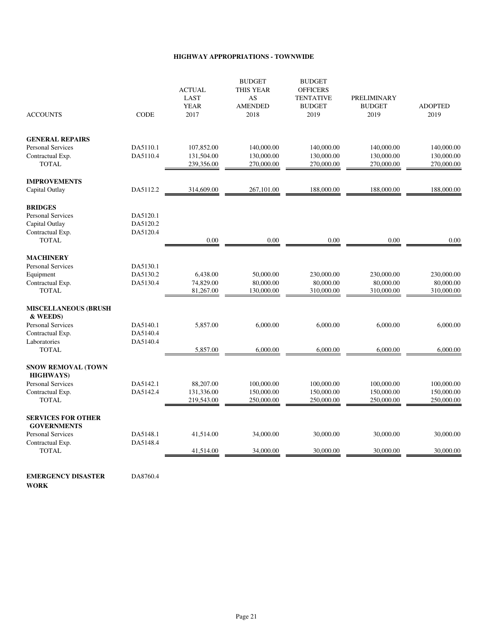#### **HIGHWAY APPROPRIATIONS - TOWNWIDE**

| <b>ACCOUNTS</b>                                 | <b>CODE</b> | <b>ACTUAL</b><br>LAST<br><b>YEAR</b><br>2017 | <b>BUDGET</b><br>THIS YEAR<br>AS<br><b>AMENDED</b><br>2018 | <b>BUDGET</b><br><b>OFFICERS</b><br><b>TENTATIVE</b><br><b>BUDGET</b><br>2019 | <b>PRELIMINARY</b><br><b>BUDGET</b><br>2019 | <b>ADOPTED</b><br>2019   |
|-------------------------------------------------|-------------|----------------------------------------------|------------------------------------------------------------|-------------------------------------------------------------------------------|---------------------------------------------|--------------------------|
| <b>GENERAL REPAIRS</b>                          |             |                                              |                                                            |                                                                               |                                             |                          |
| <b>Personal Services</b>                        | DA5110.1    | 107,852.00                                   | 140,000.00                                                 | 140,000.00                                                                    | 140,000.00                                  | 140,000.00               |
| Contractual Exp.<br><b>TOTAL</b>                | DA5110.4    | 131,504.00<br>239,356.00                     | 130,000.00<br>270,000.00                                   | 130,000.00<br>270,000.00                                                      | 130,000.00<br>270,000.00                    | 130,000.00<br>270,000.00 |
| <b>IMPROVEMENTS</b>                             |             |                                              |                                                            |                                                                               |                                             |                          |
| Capital Outlay                                  | DA5112.2    | 314,609.00                                   | 267,101.00                                                 | 188,000.00                                                                    | 188,000.00                                  | 188,000.00               |
| <b>BRIDGES</b>                                  |             |                                              |                                                            |                                                                               |                                             |                          |
| <b>Personal Services</b>                        | DA5120.1    |                                              |                                                            |                                                                               |                                             |                          |
| Capital Outlay                                  | DA5120.2    |                                              |                                                            |                                                                               |                                             |                          |
| Contractual Exp.                                | DA5120.4    |                                              |                                                            |                                                                               |                                             |                          |
| <b>TOTAL</b>                                    |             | 0.00                                         | 0.00                                                       | 0.00                                                                          | 0.00                                        | 0.00                     |
| <b>MACHINERY</b>                                |             |                                              |                                                            |                                                                               |                                             |                          |
| <b>Personal Services</b>                        | DA5130.1    |                                              |                                                            |                                                                               |                                             |                          |
| Equipment                                       | DA5130.2    | 6,438.00                                     | 50,000.00                                                  | 230,000.00                                                                    | 230,000.00                                  | 230,000.00               |
| Contractual Exp.                                | DA5130.4    | 74,829.00                                    | 80,000.00                                                  | 80,000.00                                                                     | 80,000.00                                   | 80,000.00                |
| <b>TOTAL</b>                                    |             | 81,267.00                                    | 130,000.00                                                 | 310,000.00                                                                    | 310,000.00                                  | 310,000.00               |
| <b>MISCELLANEOUS (BRUSH</b><br>& WEEDS)         |             |                                              |                                                            |                                                                               |                                             |                          |
| <b>Personal Services</b>                        | DA5140.1    | 5,857.00                                     | 6,000.00                                                   | 6,000.00                                                                      | 6,000.00                                    | 6,000.00                 |
| Contractual Exp.                                | DA5140.4    |                                              |                                                            |                                                                               |                                             |                          |
| Laboratories                                    | DA5140.4    |                                              |                                                            |                                                                               |                                             |                          |
| <b>TOTAL</b>                                    |             | 5,857.00                                     | 6.000.00                                                   | 6,000.00                                                                      | 6,000.00                                    | 6,000.00                 |
| <b>SNOW REMOVAL (TOWN</b><br><b>HIGHWAYS</b> )  |             |                                              |                                                            |                                                                               |                                             |                          |
| Personal Services                               | DA5142.1    | 88,207.00                                    | 100,000.00                                                 | 100,000.00                                                                    | 100,000.00                                  | 100,000.00               |
| Contractual Exp.                                | DA5142.4    | 131,336.00                                   | 150,000.00                                                 | 150,000.00                                                                    | 150,000.00                                  | 150,000.00               |
| <b>TOTAL</b>                                    |             | 219,543.00                                   | 250,000.00                                                 | 250,000.00                                                                    | 250,000.00                                  | 250,000.00               |
| <b>SERVICES FOR OTHER</b><br><b>GOVERNMENTS</b> |             |                                              |                                                            |                                                                               |                                             |                          |
| <b>Personal Services</b>                        | DA5148.1    | 41,514.00                                    | 34,000.00                                                  | 30,000.00                                                                     | 30,000.00                                   | 30,000.00                |
| Contractual Exp.                                | DA5148.4    |                                              |                                                            |                                                                               |                                             |                          |
| <b>TOTAL</b>                                    |             | 41,514.00                                    | 34,000.00                                                  | 30,000.00                                                                     | 30,000.00                                   | 30,000.00                |
|                                                 |             |                                              |                                                            |                                                                               |                                             |                          |
| <b>EMERGENCY DISASTER</b>                       | DA8760.4    |                                              |                                                            |                                                                               |                                             |                          |

**WORK**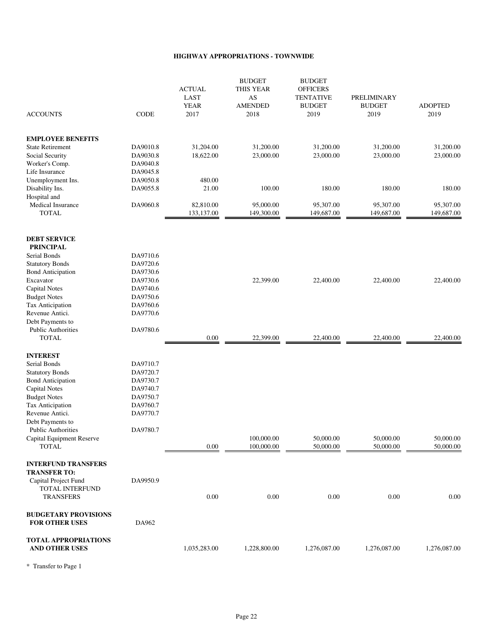#### **HIGHWAY APPROPRIATIONS - TOWNWIDE**

|                                            |                      | <b>ACTUAL</b><br>LAST<br><b>YEAR</b> | <b>BUDGET</b><br>THIS YEAR<br>AS<br><b>AMENDED</b> | <b>BUDGET</b><br><b>OFFICERS</b><br><b>TENTATIVE</b><br><b>BUDGET</b> | <b>PRELIMINARY</b><br><b>BUDGET</b> | <b>ADOPTED</b>         |
|--------------------------------------------|----------------------|--------------------------------------|----------------------------------------------------|-----------------------------------------------------------------------|-------------------------------------|------------------------|
| <b>ACCOUNTS</b>                            | <b>CODE</b>          | 2017                                 | 2018                                               | 2019                                                                  | 2019                                | 2019                   |
|                                            |                      |                                      |                                                    |                                                                       |                                     |                        |
| <b>EMPLOYEE BENEFITS</b>                   |                      |                                      |                                                    |                                                                       |                                     |                        |
| <b>State Retirement</b><br>Social Security | DA9010.8<br>DA9030.8 | 31,204.00<br>18,622.00               | 31,200.00<br>23,000.00                             | 31,200.00<br>23,000.00                                                | 31,200.00<br>23,000.00              | 31,200.00<br>23,000.00 |
| Worker's Comp.                             | DA9040.8             |                                      |                                                    |                                                                       |                                     |                        |
| Life Insurance                             | DA9045.8             |                                      |                                                    |                                                                       |                                     |                        |
| Unemployment Ins.                          | DA9050.8             | 480.00                               |                                                    |                                                                       |                                     |                        |
| Disability Ins.                            | DA9055.8             | 21.00                                | 100.00                                             | 180.00                                                                | 180.00                              | 180.00                 |
| Hospital and                               |                      |                                      |                                                    |                                                                       |                                     |                        |
| <b>Medical Insurance</b>                   | DA9060.8             | 82,810.00                            | 95,000.00                                          | 95,307.00                                                             | 95,307.00                           | 95,307.00              |
| <b>TOTAL</b>                               |                      | 133,137.00                           | 149,300.00                                         | 149,687.00                                                            | 149,687.00                          | 149,687.00             |
| <b>DEBT SERVICE</b>                        |                      |                                      |                                                    |                                                                       |                                     |                        |
| <b>PRINCIPAL</b>                           |                      |                                      |                                                    |                                                                       |                                     |                        |
| Serial Bonds                               | DA9710.6             |                                      |                                                    |                                                                       |                                     |                        |
| <b>Statutory Bonds</b>                     | DA9720.6             |                                      |                                                    |                                                                       |                                     |                        |
| <b>Bond Anticipation</b>                   | DA9730.6<br>DA9730.6 |                                      | 22,399.00                                          | 22,400.00                                                             | 22,400.00                           | 22,400.00              |
| Excavator<br><b>Capital Notes</b>          | DA9740.6             |                                      |                                                    |                                                                       |                                     |                        |
| <b>Budget Notes</b>                        | DA9750.6             |                                      |                                                    |                                                                       |                                     |                        |
| Tax Anticipation                           | DA9760.6             |                                      |                                                    |                                                                       |                                     |                        |
| Revenue Antici.                            | DA9770.6             |                                      |                                                    |                                                                       |                                     |                        |
| Debt Payments to                           |                      |                                      |                                                    |                                                                       |                                     |                        |
| <b>Public Authorities</b>                  | DA9780.6             |                                      |                                                    |                                                                       |                                     |                        |
| <b>TOTAL</b>                               |                      | 0.00                                 | 22,399.00                                          | 22,400.00                                                             | 22,400.00                           | 22,400.00              |
| <b>INTEREST</b>                            |                      |                                      |                                                    |                                                                       |                                     |                        |
| Serial Bonds                               | DA9710.7             |                                      |                                                    |                                                                       |                                     |                        |
| <b>Statutory Bonds</b>                     | DA9720.7             |                                      |                                                    |                                                                       |                                     |                        |
| <b>Bond Anticipation</b>                   | DA9730.7             |                                      |                                                    |                                                                       |                                     |                        |
| <b>Capital Notes</b>                       | DA9740.7             |                                      |                                                    |                                                                       |                                     |                        |
| <b>Budget Notes</b>                        | DA9750.7             |                                      |                                                    |                                                                       |                                     |                        |
| Tax Anticipation                           | DA9760.7             |                                      |                                                    |                                                                       |                                     |                        |
| Revenue Antici.                            | DA9770.7             |                                      |                                                    |                                                                       |                                     |                        |
| Debt Payments to                           |                      |                                      |                                                    |                                                                       |                                     |                        |
| <b>Public Authorities</b>                  | DA9780.7             |                                      |                                                    |                                                                       |                                     |                        |
| Capital Equipment Reserve                  |                      |                                      | 100,000.00                                         | 50,000.00                                                             | 50,000.00                           | 50,000.00              |
| <b>TOTAL</b>                               |                      | 0.00                                 | 100,000.00                                         | 50,000.00                                                             | 50,000.00                           | 50,000.00              |
| <b>INTERFUND TRANSFERS</b>                 |                      |                                      |                                                    |                                                                       |                                     |                        |
| <b>TRANSFER TO:</b>                        |                      |                                      |                                                    |                                                                       |                                     |                        |
| Capital Project Fund                       | DA9950.9             |                                      |                                                    |                                                                       |                                     |                        |
| TOTAL INTERFUND<br><b>TRANSFERS</b>        |                      | 0.00                                 | 0.00                                               | 0.00                                                                  | 0.00                                | 0.00                   |
| <b>BUDGETARY PROVISIONS</b>                |                      |                                      |                                                    |                                                                       |                                     |                        |
| <b>FOR OTHER USES</b>                      | DA962                |                                      |                                                    |                                                                       |                                     |                        |
| <b>TOTAL APPROPRIATIONS</b>                |                      |                                      |                                                    |                                                                       |                                     |                        |
| <b>AND OTHER USES</b>                      |                      | 1,035,283.00                         | 1,228,800.00                                       | 1,276,087.00                                                          | 1,276,087.00                        | 1,276,087.00           |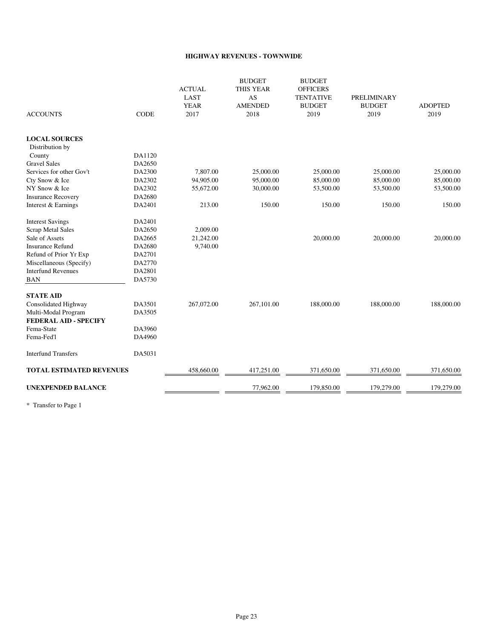#### **HIGHWAY REVENUES - TOWNWIDE**

| <b>ACCOUNTS</b>                                     | <b>CODE</b> | <b>ACTUAL</b><br>LAST<br><b>YEAR</b><br>2017 | <b>BUDGET</b><br><b>THIS YEAR</b><br>AS<br><b>AMENDED</b><br>2018 | <b>BUDGET</b><br><b>OFFICERS</b><br><b>TENTATIVE</b><br><b>BUDGET</b><br>2019 | <b>PRELIMINARY</b><br><b>BUDGET</b><br>2019 | <b>ADOPTED</b><br>2019 |
|-----------------------------------------------------|-------------|----------------------------------------------|-------------------------------------------------------------------|-------------------------------------------------------------------------------|---------------------------------------------|------------------------|
| <b>LOCAL SOURCES</b>                                |             |                                              |                                                                   |                                                                               |                                             |                        |
| Distribution by                                     |             |                                              |                                                                   |                                                                               |                                             |                        |
| County                                              | DA1120      |                                              |                                                                   |                                                                               |                                             |                        |
| <b>Gravel Sales</b>                                 | DA2650      |                                              |                                                                   |                                                                               |                                             |                        |
| Services for other Gov't                            | DA2300      | 7,807.00                                     | 25,000.00                                                         | 25,000.00                                                                     | 25,000.00                                   | 25,000.00              |
| Cty Snow & Ice                                      | DA2302      | 94,905.00                                    | 95,000.00                                                         | 85,000.00                                                                     | 85,000.00                                   | 85,000.00              |
| NY Snow & Ice                                       | DA2302      | 55,672.00                                    | 30,000.00                                                         | 53,500.00                                                                     | 53,500.00                                   | 53,500.00              |
| <b>Insurance Recovery</b>                           | DA2680      |                                              |                                                                   |                                                                               |                                             |                        |
| Interest & Earnings                                 | DA2401      | 213.00                                       | 150.00                                                            | 150.00                                                                        | 150.00                                      | 150.00                 |
| <b>Interest Savings</b>                             | DA2401      |                                              |                                                                   |                                                                               |                                             |                        |
| <b>Scrap Metal Sales</b>                            | DA2650      | 2,009.00                                     |                                                                   |                                                                               |                                             |                        |
| Sale of Assets                                      | DA2665      | 21,242.00                                    |                                                                   | 20,000.00                                                                     | 20,000.00                                   | 20,000.00              |
| <b>Insurance Refund</b>                             | DA2680      | 9,740.00                                     |                                                                   |                                                                               |                                             |                        |
| Refund of Prior Yr Exp                              | DA2701      |                                              |                                                                   |                                                                               |                                             |                        |
| Miscellaneous (Specify)                             | DA2770      |                                              |                                                                   |                                                                               |                                             |                        |
| <b>Interfund Revenues</b>                           | DA2801      |                                              |                                                                   |                                                                               |                                             |                        |
| <b>BAN</b>                                          | DA5730      |                                              |                                                                   |                                                                               |                                             |                        |
| <b>STATE AID</b>                                    |             |                                              |                                                                   |                                                                               |                                             |                        |
| Consolidated Highway                                | DA3501      | 267,072.00                                   | 267,101.00                                                        | 188,000.00                                                                    | 188,000.00                                  | 188,000.00             |
| Multi-Modal Program<br><b>FEDERAL AID - SPECIFY</b> | DA3505      |                                              |                                                                   |                                                                               |                                             |                        |
| Fema-State                                          | DA3960      |                                              |                                                                   |                                                                               |                                             |                        |
| Fema-Fed'l                                          | DA4960      |                                              |                                                                   |                                                                               |                                             |                        |
| <b>Interfund Transfers</b>                          | DA5031      |                                              |                                                                   |                                                                               |                                             |                        |
| <b>TOTAL ESTIMATED REVENUES</b>                     |             | 458,660.00                                   | 417,251.00                                                        | 371,650.00                                                                    | 371,650.00                                  | 371,650.00             |
| <b>UNEXPENDED BALANCE</b>                           |             |                                              | 77,962.00                                                         | 179,850.00                                                                    | 179,279.00                                  | 179,279.00             |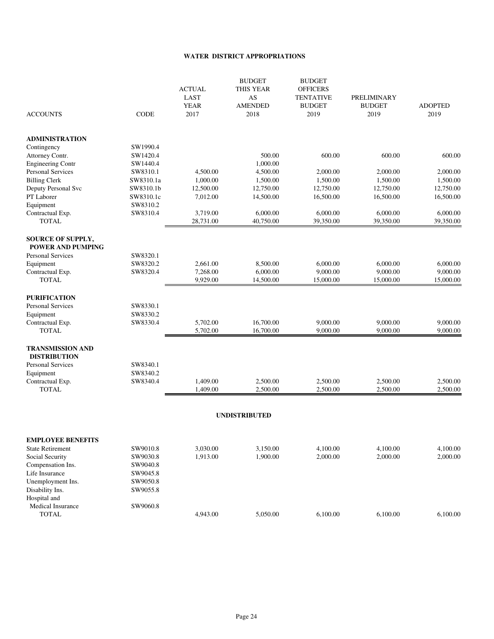#### **WATER DISTRICT APPROPRIATIONS**

| <b>ACCOUNTS</b>                                      | <b>CODE</b>           | <b>ACTUAL</b><br><b>LAST</b><br><b>YEAR</b><br>2017 | <b>BUDGET</b><br>THIS YEAR<br>AS<br><b>AMENDED</b><br>2018 | <b>BUDGET</b><br><b>OFFICERS</b><br><b>TENTATIVE</b><br><b>BUDGET</b><br>2019 | PRELIMINARY<br><b>BUDGET</b><br>2019 | <b>ADOPTED</b><br>2019 |
|------------------------------------------------------|-----------------------|-----------------------------------------------------|------------------------------------------------------------|-------------------------------------------------------------------------------|--------------------------------------|------------------------|
| <b>ADMINISTRATION</b>                                |                       |                                                     |                                                            |                                                                               |                                      |                        |
| Contingency                                          | SW1990.4              |                                                     |                                                            |                                                                               |                                      |                        |
| Attorney Contr.                                      | SW1420.4              |                                                     | 500.00                                                     | 600.00                                                                        | 600.00                               | 600.00                 |
| <b>Engineering Contr</b>                             | SW1440.4              |                                                     | 1,000.00                                                   |                                                                               |                                      |                        |
| Personal Services                                    | SW8310.1              | 4,500.00                                            | 4,500.00                                                   | 2,000.00                                                                      | 2,000.00                             | 2,000.00               |
| <b>Billing Clerk</b>                                 | SW8310.1a             | 1,000.00                                            | 1,500.00                                                   | 1,500.00                                                                      | 1,500.00                             | 1,500.00               |
| Deputy Personal Svc<br>PT Laborer                    | SW8310.1b             | 12,500.00                                           | 12,750.00<br>14,500.00                                     | 12,750.00                                                                     | 12,750.00                            | 12,750.00              |
|                                                      | SW8310.1c<br>SW8310.2 | 7,012.00                                            |                                                            | 16,500.00                                                                     | 16,500.00                            | 16,500.00              |
| Equipment<br>Contractual Exp.                        | SW8310.4              | 3,719.00                                            | 6,000.00                                                   | 6,000.00                                                                      | 6,000.00                             | 6,000.00               |
| <b>TOTAL</b>                                         |                       | 28,731.00                                           | 40,750.00                                                  | 39,350.00                                                                     | 39,350.00                            | 39,350.00              |
| <b>SOURCE OF SUPPLY,</b><br><b>POWER AND PUMPING</b> |                       |                                                     |                                                            |                                                                               |                                      |                        |
| <b>Personal Services</b>                             | SW8320.1              |                                                     |                                                            |                                                                               |                                      |                        |
| Equipment                                            | SW8320.2              | 2,661.00                                            | 8,500.00                                                   | 6,000.00                                                                      | 6,000.00                             | 6,000.00               |
| Contractual Exp.                                     | SW8320.4              | 7,268.00                                            | 6,000.00                                                   | 9,000.00                                                                      | 9,000.00                             | 9,000.00               |
| <b>TOTAL</b>                                         |                       | 9,929.00                                            | 14,500.00                                                  | 15,000.00                                                                     | 15,000.00                            | 15,000.00              |
| <b>PURIFICATION</b>                                  |                       |                                                     |                                                            |                                                                               |                                      |                        |
| Personal Services                                    | SW8330.1              |                                                     |                                                            |                                                                               |                                      |                        |
| Equipment                                            | SW8330.2              |                                                     |                                                            |                                                                               |                                      |                        |
| Contractual Exp.<br><b>TOTAL</b>                     | SW8330.4              | 5,702.00<br>5,702.00                                | 16,700.00<br>16,700.00                                     | 9,000.00<br>9,000.00                                                          | 9,000.00<br>9,000.00                 | 9,000.00<br>9,000.00   |
| <b>TRANSMISSION AND</b><br><b>DISTRIBUTION</b>       |                       |                                                     |                                                            |                                                                               |                                      |                        |
| Personal Services                                    | SW8340.1              |                                                     |                                                            |                                                                               |                                      |                        |
| Equipment                                            | SW8340.2              |                                                     |                                                            |                                                                               |                                      |                        |
| Contractual Exp.                                     | SW8340.4              | 1,409.00                                            | 2,500.00                                                   | 2,500.00                                                                      | 2,500.00                             | 2,500.00               |
| <b>TOTAL</b>                                         |                       | 1,409.00                                            | 2,500.00                                                   | 2,500.00                                                                      | 2,500.00                             | 2,500.00               |
|                                                      |                       |                                                     | <b>UNDISTRIBUTED</b>                                       |                                                                               |                                      |                        |
| <b>EMPLOYEE BENEFITS</b>                             |                       |                                                     |                                                            |                                                                               |                                      |                        |
| <b>State Retirement</b>                              | SW9010.8              | 3,030.00                                            | 3,150.00                                                   | 4,100.00                                                                      | 4,100.00                             | 4,100.00               |
| Social Security                                      | SW9030.8              | 1,913.00                                            | 1,900.00                                                   | 2,000.00                                                                      | 2,000.00                             | 2,000.00               |
| Compensation Ins.                                    | SW9040.8              |                                                     |                                                            |                                                                               |                                      |                        |
| Life Insurance                                       | SW9045.8              |                                                     |                                                            |                                                                               |                                      |                        |
| Unemployment Ins.                                    | SW9050.8              |                                                     |                                                            |                                                                               |                                      |                        |
| Disability Ins.                                      | SW9055.8              |                                                     |                                                            |                                                                               |                                      |                        |
| Hospital and                                         |                       |                                                     |                                                            |                                                                               |                                      |                        |
| Medical Insurance                                    | SW9060.8              |                                                     |                                                            |                                                                               |                                      |                        |
| <b>TOTAL</b>                                         |                       | 4,943.00                                            | 5,050.00                                                   | 6,100.00                                                                      | 6,100.00                             | 6,100.00               |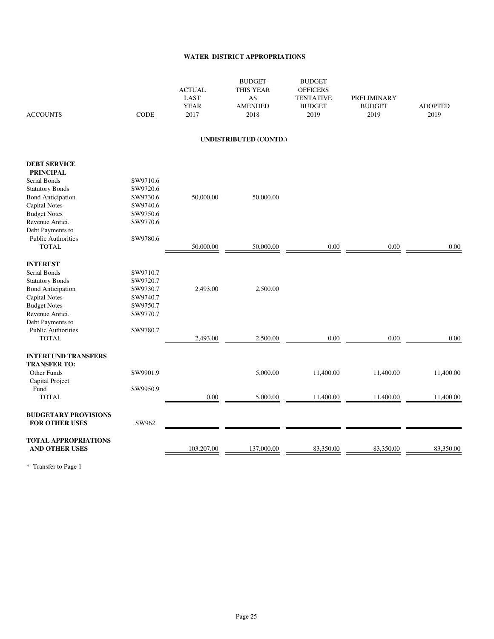#### **WATER DISTRICT APPROPRIATIONS**

| <b>ACCOUNTS</b>                        | <b>CODE</b>          | <b>ACTUAL</b><br>LAST<br><b>YEAR</b><br>2017 | <b>BUDGET</b><br>THIS YEAR<br>AS<br><b>AMENDED</b><br>2018 | <b>BUDGET</b><br><b>OFFICERS</b><br><b>TENTATIVE</b><br><b>BUDGET</b><br>2019 | PRELIMINARY<br><b>BUDGET</b><br>2019 | <b>ADOPTED</b><br>2019 |
|----------------------------------------|----------------------|----------------------------------------------|------------------------------------------------------------|-------------------------------------------------------------------------------|--------------------------------------|------------------------|
|                                        |                      |                                              | <b>UNDISTRIBUTED (CONTD.)</b>                              |                                                                               |                                      |                        |
| <b>DEBT SERVICE</b>                    |                      |                                              |                                                            |                                                                               |                                      |                        |
| <b>PRINCIPAL</b>                       |                      |                                              |                                                            |                                                                               |                                      |                        |
| Serial Bonds                           | SW9710.6             |                                              |                                                            |                                                                               |                                      |                        |
| <b>Statutory Bonds</b>                 | SW9720.6             |                                              |                                                            |                                                                               |                                      |                        |
| <b>Bond Anticipation</b>               | SW9730.6             | 50,000.00                                    | 50,000.00                                                  |                                                                               |                                      |                        |
| <b>Capital Notes</b>                   | SW9740.6             |                                              |                                                            |                                                                               |                                      |                        |
| <b>Budget Notes</b>                    | SW9750.6             |                                              |                                                            |                                                                               |                                      |                        |
| Revenue Antici.                        | SW9770.6             |                                              |                                                            |                                                                               |                                      |                        |
| Debt Payments to                       |                      |                                              |                                                            |                                                                               |                                      |                        |
| <b>Public Authorities</b>              | SW9780.6             |                                              |                                                            |                                                                               |                                      |                        |
| <b>TOTAL</b>                           |                      | 50,000.00                                    | 50,000.00                                                  | 0.00                                                                          | $0.00\,$                             | $0.00\,$               |
|                                        |                      |                                              |                                                            |                                                                               |                                      |                        |
| <b>INTEREST</b>                        |                      |                                              |                                                            |                                                                               |                                      |                        |
| Serial Bonds                           | SW9710.7             |                                              |                                                            |                                                                               |                                      |                        |
| <b>Statutory Bonds</b>                 | SW9720.7             |                                              |                                                            |                                                                               |                                      |                        |
| <b>Bond Anticipation</b>               | SW9730.7             | 2,493.00                                     | 2,500.00                                                   |                                                                               |                                      |                        |
| <b>Capital Notes</b>                   | SW9740.7<br>SW9750.7 |                                              |                                                            |                                                                               |                                      |                        |
| <b>Budget Notes</b><br>Revenue Antici. | SW9770.7             |                                              |                                                            |                                                                               |                                      |                        |
| Debt Payments to                       |                      |                                              |                                                            |                                                                               |                                      |                        |
| <b>Public Authorities</b>              | SW9780.7             |                                              |                                                            |                                                                               |                                      |                        |
| <b>TOTAL</b>                           |                      | 2,493.00                                     | 2,500.00                                                   | 0.00                                                                          | $0.00\,$                             | 0.00                   |
|                                        |                      |                                              |                                                            |                                                                               |                                      |                        |
| <b>INTERFUND TRANSFERS</b>             |                      |                                              |                                                            |                                                                               |                                      |                        |
| <b>TRANSFER TO:</b>                    |                      |                                              |                                                            |                                                                               |                                      |                        |
| Other Funds                            | SW9901.9             |                                              | 5,000.00                                                   | 11,400.00                                                                     | 11,400.00                            | 11,400.00              |
| Capital Project                        |                      |                                              |                                                            |                                                                               |                                      |                        |
| Fund                                   | SW9950.9             |                                              |                                                            |                                                                               |                                      |                        |
| <b>TOTAL</b>                           |                      | 0.00                                         | 5,000.00                                                   | 11,400.00                                                                     | 11,400.00                            | 11,400.00              |
|                                        |                      |                                              |                                                            |                                                                               |                                      |                        |
| <b>BUDGETARY PROVISIONS</b>            |                      |                                              |                                                            |                                                                               |                                      |                        |
| <b>FOR OTHER USES</b>                  | SW962                |                                              |                                                            |                                                                               |                                      |                        |
| <b>TOTAL APPROPRIATIONS</b>            |                      |                                              |                                                            |                                                                               |                                      |                        |
| <b>AND OTHER USES</b>                  |                      | 103,207.00                                   | 137,000.00                                                 | 83,350.00                                                                     | 83,350.00                            | 83,350.00              |
|                                        |                      |                                              |                                                            |                                                                               |                                      |                        |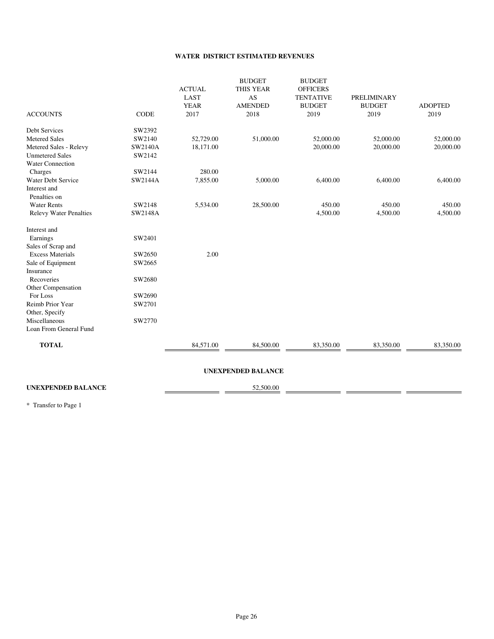#### **WATER DISTRICT ESTIMATED REVENUES**

| 52,729.00<br>18,171.00<br>280.00<br>7,855.00<br>5,534.00 | 51,000.00<br>5,000.00<br>28,500.00 | 52,000.00<br>20,000.00<br>6,400.00<br>450.00<br>4,500.00 | 52,000.00<br>20,000.00<br>6,400.00<br>450.00<br>4,500.00 | 52,000.00<br>20,000.00<br>6,400.00<br>450.00<br>4,500.00 |
|----------------------------------------------------------|------------------------------------|----------------------------------------------------------|----------------------------------------------------------|----------------------------------------------------------|
|                                                          |                                    |                                                          |                                                          |                                                          |
|                                                          |                                    |                                                          |                                                          |                                                          |
|                                                          |                                    |                                                          |                                                          |                                                          |
|                                                          |                                    |                                                          |                                                          |                                                          |
|                                                          |                                    |                                                          |                                                          |                                                          |
|                                                          |                                    |                                                          |                                                          |                                                          |
|                                                          |                                    |                                                          |                                                          |                                                          |
|                                                          |                                    |                                                          |                                                          |                                                          |
|                                                          |                                    |                                                          |                                                          |                                                          |
|                                                          |                                    |                                                          |                                                          |                                                          |
|                                                          |                                    |                                                          |                                                          |                                                          |
|                                                          |                                    |                                                          |                                                          |                                                          |
|                                                          |                                    |                                                          |                                                          |                                                          |
|                                                          |                                    |                                                          |                                                          |                                                          |
| 2.00                                                     |                                    |                                                          |                                                          |                                                          |
|                                                          |                                    |                                                          |                                                          |                                                          |
|                                                          |                                    |                                                          |                                                          |                                                          |
|                                                          |                                    |                                                          |                                                          |                                                          |
|                                                          |                                    |                                                          |                                                          |                                                          |
|                                                          |                                    |                                                          |                                                          |                                                          |
|                                                          |                                    |                                                          |                                                          |                                                          |
|                                                          |                                    |                                                          |                                                          |                                                          |
|                                                          |                                    |                                                          |                                                          |                                                          |
|                                                          |                                    |                                                          |                                                          |                                                          |
| 84,571.00                                                | 84,500.00                          | 83,350.00                                                | 83,350.00                                                | 83,350.00                                                |
|                                                          |                                    |                                                          |                                                          | <b>UNEXPENDED BALANCE</b>                                |

### UNEXPENDED BALANCE 52,500.00

Ē.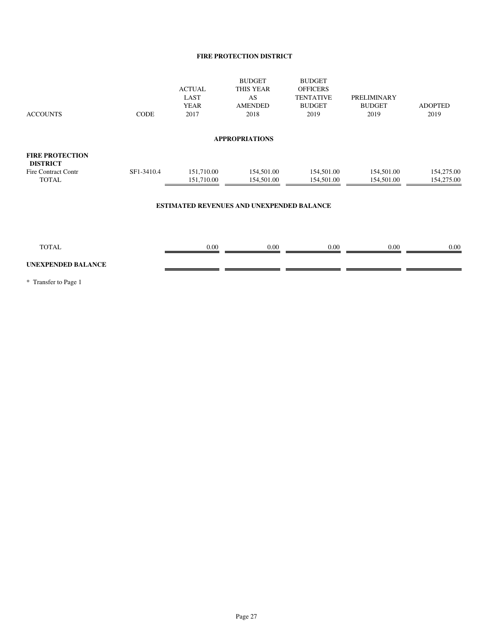#### **FIRE PROTECTION DISTRICT**

| <b>ACCOUNTS</b>                                                                         | <b>CODE</b> | <b>ACTUAL</b><br>LAST<br><b>YEAR</b><br>2017 | <b>BUDGET</b><br><b>THIS YEAR</b><br>AS<br><b>AMENDED</b><br>2018 | <b>BUDGET</b><br><b>OFFICERS</b><br><b>TENTATIVE</b><br><b>BUDGET</b><br>2019 | PRELIMINARY<br><b>BUDGET</b><br>2019 | <b>ADOPTED</b><br>2019   |
|-----------------------------------------------------------------------------------------|-------------|----------------------------------------------|-------------------------------------------------------------------|-------------------------------------------------------------------------------|--------------------------------------|--------------------------|
|                                                                                         |             |                                              | <b>APPROPRIATIONS</b>                                             |                                                                               |                                      |                          |
| <b>FIRE PROTECTION</b><br><b>DISTRICT</b><br><b>Fire Contract Contr</b><br><b>TOTAL</b> | SF1-3410.4  | 151,710.00<br>151,710.00                     | 154,501.00<br>154,501.00                                          | 154,501.00<br>154,501.00                                                      | 154,501.00<br>154,501.00             | 154,275.00<br>154,275.00 |
|                                                                                         |             |                                              | <b>ESTIMATED REVENUES AND UNEXPENDED BALANCE</b>                  |                                                                               |                                      |                          |
|                                                                                         |             |                                              |                                                                   |                                                                               |                                      |                          |
| <b>TOTAL</b>                                                                            |             | 0.00                                         | 0.00                                                              | 0.00                                                                          | $0.00\,$                             | 0.00                     |

. .

a.

ś.

#### **UNEXPENDED BALANCE**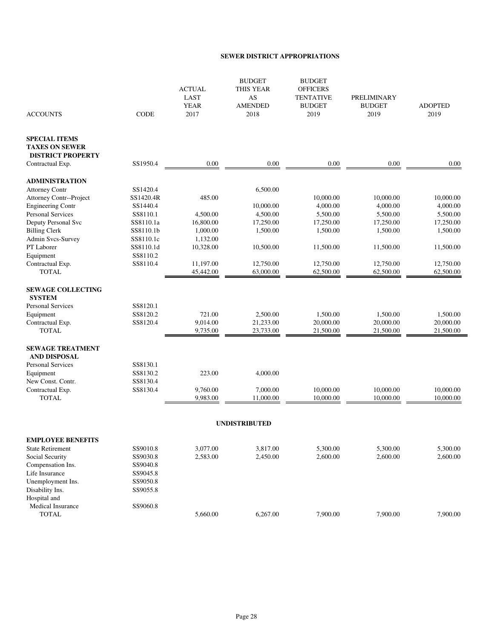#### **SEWER DISTRICT APPROPRIATIONS**

| <b>ACCOUNTS</b>                                                           | <b>CODE</b>          | <b>ACTUAL</b><br><b>LAST</b><br><b>YEAR</b><br>2017 | <b>BUDGET</b><br>THIS YEAR<br>AS<br><b>AMENDED</b><br>2018 | <b>BUDGET</b><br><b>OFFICERS</b><br><b>TENTATIVE</b><br><b>BUDGET</b><br>2019 | <b>PRELIMINARY</b><br><b>BUDGET</b><br>2019 | <b>ADOPTED</b><br>2019 |
|---------------------------------------------------------------------------|----------------------|-----------------------------------------------------|------------------------------------------------------------|-------------------------------------------------------------------------------|---------------------------------------------|------------------------|
| <b>SPECIAL ITEMS</b><br><b>TAXES ON SEWER</b><br><b>DISTRICT PROPERTY</b> |                      |                                                     |                                                            |                                                                               |                                             |                        |
| Contractual Exp.                                                          | SS1950.4             | 0.00                                                | 0.00                                                       | 0.00                                                                          | 0.00                                        | 0.00                   |
| <b>ADMINISTRATION</b>                                                     |                      |                                                     |                                                            |                                                                               |                                             |                        |
| <b>Attorney Contr</b>                                                     | SS1420.4             |                                                     | 6,500.00                                                   |                                                                               |                                             |                        |
| Attorney Contr--Project                                                   | SS1420.4R            | 485.00                                              |                                                            | 10,000.00                                                                     | 10,000.00                                   | 10,000.00              |
| <b>Engineering Contr</b>                                                  | SS1440.4             |                                                     | 10,000.00                                                  | 4,000.00                                                                      | 4,000.00                                    | 4,000.00               |
| <b>Personal Services</b>                                                  | SS8110.1             | 4,500.00                                            | 4,500.00                                                   | 5,500.00                                                                      | 5,500.00                                    | 5,500.00               |
| Deputy Personal Svc                                                       | SS8110.1a            | 16,800.00                                           | 17,250.00                                                  | 17,250.00                                                                     | 17,250.00                                   | 17,250.00              |
| <b>Billing Clerk</b>                                                      | SS8110.1b            | 1,000.00                                            | 1,500.00                                                   | 1,500.00                                                                      | 1,500.00                                    | 1,500.00               |
| Admin Svcs-Survey                                                         | SS8110.1c            | 1,132.00                                            |                                                            |                                                                               |                                             |                        |
| PT Laborer                                                                | SS8110.1d            | 10,328.00                                           | 10,500.00                                                  | 11,500.00                                                                     | 11,500.00                                   | 11,500.00              |
| Equipment                                                                 | SS8110.2             |                                                     |                                                            |                                                                               |                                             |                        |
| Contractual Exp.                                                          | SS8110.4             | 11,197.00                                           | 12,750.00                                                  | 12,750.00                                                                     | 12,750.00                                   | 12,750.00              |
| <b>TOTAL</b>                                                              |                      | 45,442.00                                           | 63,000.00                                                  | 62,500.00                                                                     | 62,500.00                                   | 62,500.00              |
| <b>SEWAGE COLLECTING</b>                                                  |                      |                                                     |                                                            |                                                                               |                                             |                        |
| <b>SYSTEM</b>                                                             |                      |                                                     |                                                            |                                                                               |                                             |                        |
| Personal Services                                                         | SS8120.1<br>SS8120.2 | 721.00                                              | 2,500.00                                                   | 1,500.00                                                                      | 1,500.00                                    | 1,500.00               |
| Equipment<br>Contractual Exp.                                             | SS8120.4             | 9,014.00                                            | 21,233.00                                                  | 20,000.00                                                                     | 20,000.00                                   | 20,000.00              |
| <b>TOTAL</b>                                                              |                      | 9,735.00                                            | 23,733.00                                                  | 21,500.00                                                                     | 21,500.00                                   | 21,500.00              |
| <b>SEWAGE TREATMENT</b><br>AND DISPOSAL                                   |                      |                                                     |                                                            |                                                                               |                                             |                        |
| Personal Services                                                         | SS8130.1             |                                                     |                                                            |                                                                               |                                             |                        |
| Equipment                                                                 | SS8130.2             | 223.00                                              | 4,000.00                                                   |                                                                               |                                             |                        |
| New Const. Contr.                                                         | SS8130.4             |                                                     |                                                            |                                                                               |                                             |                        |
| Contractual Exp.                                                          | SS8130.4             | 9,760.00                                            | 7,000.00                                                   | 10,000.00                                                                     | 10,000.00                                   | 10,000.00              |
| <b>TOTAL</b>                                                              |                      | 9,983.00                                            | 11,000.00                                                  | 10,000.00                                                                     | 10,000.00                                   | 10,000.00              |
|                                                                           |                      |                                                     | <b>UNDISTRIBUTED</b>                                       |                                                                               |                                             |                        |
| <b>EMPLOYEE BENEFITS</b>                                                  |                      |                                                     |                                                            |                                                                               |                                             |                        |
| <b>State Retirement</b>                                                   | SS9010.8             | 3,077.00                                            | 3,817.00                                                   | 5,300.00                                                                      | 5,300.00                                    | 5,300.00               |
| Social Security                                                           | SS9030.8             | 2,583.00                                            | 2,450.00                                                   | 2,600.00                                                                      | 2,600.00                                    | 2,600.00               |
| Compensation Ins.                                                         | SS9040.8             |                                                     |                                                            |                                                                               |                                             |                        |
| Life Insurance                                                            | SS9045.8             |                                                     |                                                            |                                                                               |                                             |                        |
| Unemployment Ins.                                                         | SS9050.8             |                                                     |                                                            |                                                                               |                                             |                        |
| Disability Ins.                                                           | SS9055.8             |                                                     |                                                            |                                                                               |                                             |                        |
| Hospital and                                                              |                      |                                                     |                                                            |                                                                               |                                             |                        |
| Medical Insurance                                                         | SS9060.8             |                                                     |                                                            |                                                                               |                                             |                        |
| <b>TOTAL</b>                                                              |                      | 5,660.00                                            | 6,267.00                                                   | 7,900.00                                                                      | 7,900.00                                    | 7,900.00               |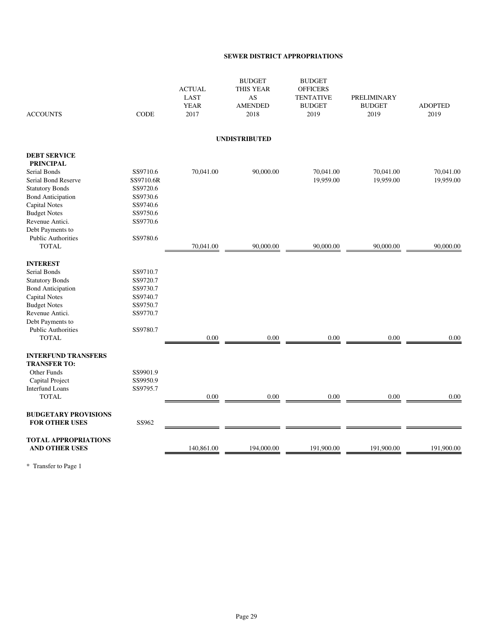#### **SEWER DISTRICT APPROPRIATIONS**

| <b>ACCOUNTS</b>                                      | <b>CODE</b> | <b>ACTUAL</b><br><b>LAST</b><br><b>YEAR</b><br>2017 | <b>BUDGET</b><br><b>THIS YEAR</b><br>AS<br><b>AMENDED</b><br>2018 | <b>BUDGET</b><br><b>OFFICERS</b><br><b>TENTATIVE</b><br><b>BUDGET</b><br>2019 | <b>PRELIMINARY</b><br><b>BUDGET</b><br>2019 | <b>ADOPTED</b><br>2019 |
|------------------------------------------------------|-------------|-----------------------------------------------------|-------------------------------------------------------------------|-------------------------------------------------------------------------------|---------------------------------------------|------------------------|
|                                                      |             |                                                     | <b>UNDISTRIBUTED</b>                                              |                                                                               |                                             |                        |
| <b>DEBT SERVICE</b>                                  |             |                                                     |                                                                   |                                                                               |                                             |                        |
| <b>PRINCIPAL</b>                                     |             |                                                     |                                                                   |                                                                               |                                             |                        |
| Serial Bonds                                         | SS9710.6    | 70,041.00                                           | 90,000.00                                                         | 70,041.00                                                                     | 70,041.00                                   | 70,041.00              |
| Serial Bond Reserve                                  | SS9710.6R   |                                                     |                                                                   | 19,959.00                                                                     | 19,959.00                                   | 19,959.00              |
| <b>Statutory Bonds</b>                               | SS9720.6    |                                                     |                                                                   |                                                                               |                                             |                        |
| <b>Bond Anticipation</b>                             | SS9730.6    |                                                     |                                                                   |                                                                               |                                             |                        |
| <b>Capital Notes</b>                                 | SS9740.6    |                                                     |                                                                   |                                                                               |                                             |                        |
| <b>Budget Notes</b>                                  | SS9750.6    |                                                     |                                                                   |                                                                               |                                             |                        |
| Revenue Antici.                                      | SS9770.6    |                                                     |                                                                   |                                                                               |                                             |                        |
| Debt Payments to                                     |             |                                                     |                                                                   |                                                                               |                                             |                        |
| <b>Public Authorities</b>                            | SS9780.6    |                                                     |                                                                   |                                                                               |                                             |                        |
| <b>TOTAL</b>                                         |             | 70,041.00                                           | 90,000.00                                                         | 90,000.00                                                                     | 90,000.00                                   | 90,000.00              |
| <b>INTEREST</b>                                      |             |                                                     |                                                                   |                                                                               |                                             |                        |
| Serial Bonds                                         | SS9710.7    |                                                     |                                                                   |                                                                               |                                             |                        |
| <b>Statutory Bonds</b>                               | SS9720.7    |                                                     |                                                                   |                                                                               |                                             |                        |
| <b>Bond Anticipation</b>                             | SS9730.7    |                                                     |                                                                   |                                                                               |                                             |                        |
| <b>Capital Notes</b>                                 | SS9740.7    |                                                     |                                                                   |                                                                               |                                             |                        |
| <b>Budget Notes</b>                                  | SS9750.7    |                                                     |                                                                   |                                                                               |                                             |                        |
| Revenue Antici.                                      | SS9770.7    |                                                     |                                                                   |                                                                               |                                             |                        |
| Debt Payments to                                     |             |                                                     |                                                                   |                                                                               |                                             |                        |
| <b>Public Authorities</b>                            | SS9780.7    |                                                     |                                                                   |                                                                               |                                             |                        |
| <b>TOTAL</b>                                         |             | 0.00                                                | 0.00                                                              | 0.00                                                                          | 0.00                                        | 0.00                   |
| <b>INTERFUND TRANSFERS</b>                           |             |                                                     |                                                                   |                                                                               |                                             |                        |
| <b>TRANSFER TO:</b>                                  |             |                                                     |                                                                   |                                                                               |                                             |                        |
| Other Funds                                          | SS9901.9    |                                                     |                                                                   |                                                                               |                                             |                        |
| Capital Project                                      | SS9950.9    |                                                     |                                                                   |                                                                               |                                             |                        |
| <b>Interfund Loans</b>                               | SS9795.7    |                                                     |                                                                   |                                                                               |                                             |                        |
| <b>TOTAL</b>                                         |             | 0.00                                                | 0.00                                                              | 0.00                                                                          | 0.00                                        | 0.00                   |
| <b>BUDGETARY PROVISIONS</b><br><b>FOR OTHER USES</b> | SS962       |                                                     |                                                                   |                                                                               |                                             |                        |
|                                                      |             |                                                     |                                                                   |                                                                               |                                             |                        |
| <b>TOTAL APPROPRIATIONS</b><br><b>AND OTHER USES</b> |             | 140,861.00                                          | 194,000.00                                                        | 191,900.00                                                                    | 191,900.00                                  | 191,900.00             |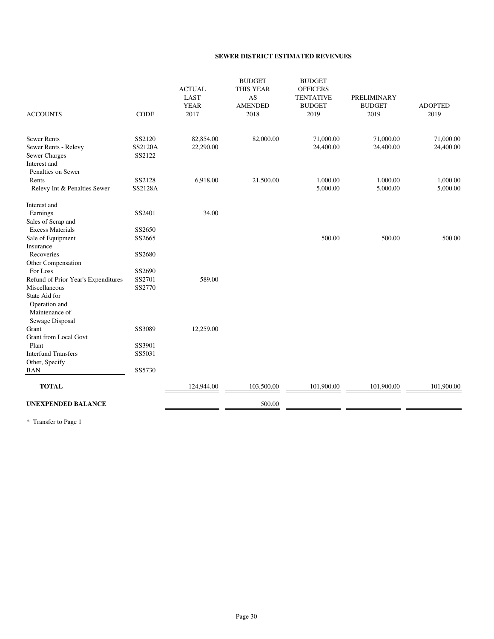#### **SEWER DISTRICT ESTIMATED REVENUES**

| <b>ACCOUNTS</b>                     | <b>CODE</b>    | <b>ACTUAL</b><br>LAST<br><b>YEAR</b><br>2017 | <b>BUDGET</b><br><b>THIS YEAR</b><br>AS<br><b>AMENDED</b><br>2018 | <b>BUDGET</b><br><b>OFFICERS</b><br><b>TENTATIVE</b><br><b>BUDGET</b><br>2019 | <b>PRELIMINARY</b><br><b>BUDGET</b><br>2019 | <b>ADOPTED</b><br>2019 |
|-------------------------------------|----------------|----------------------------------------------|-------------------------------------------------------------------|-------------------------------------------------------------------------------|---------------------------------------------|------------------------|
| <b>Sewer Rents</b>                  | SS2120         | 82,854.00                                    | 82,000.00                                                         | 71,000.00                                                                     | 71,000.00                                   | 71,000.00              |
| Sewer Rents - Relevy                | <b>SS2120A</b> | 22,290.00                                    |                                                                   | 24,400.00                                                                     | 24,400.00                                   | 24,400.00              |
| <b>Sewer Charges</b>                | SS2122         |                                              |                                                                   |                                                                               |                                             |                        |
| Interest and                        |                |                                              |                                                                   |                                                                               |                                             |                        |
| Penalties on Sewer                  |                |                                              |                                                                   |                                                                               |                                             |                        |
| Rents                               | SS2128         | 6,918.00                                     | 21,500.00                                                         | 1,000.00                                                                      | 1,000.00                                    | 1,000.00               |
| Relevy Int & Penalties Sewer        | SS2128A        |                                              |                                                                   | 5,000.00                                                                      | 5,000.00                                    | 5,000.00               |
| Interest and                        |                |                                              |                                                                   |                                                                               |                                             |                        |
| Earnings                            | SS2401         | 34.00                                        |                                                                   |                                                                               |                                             |                        |
| Sales of Scrap and                  |                |                                              |                                                                   |                                                                               |                                             |                        |
| <b>Excess Materials</b>             | SS2650         |                                              |                                                                   |                                                                               |                                             |                        |
| Sale of Equipment                   | SS2665         |                                              |                                                                   | 500.00                                                                        | 500.00                                      | 500.00                 |
| Insurance                           |                |                                              |                                                                   |                                                                               |                                             |                        |
| Recoveries                          | SS2680         |                                              |                                                                   |                                                                               |                                             |                        |
| Other Compensation                  |                |                                              |                                                                   |                                                                               |                                             |                        |
| For Loss                            | SS2690         |                                              |                                                                   |                                                                               |                                             |                        |
| Refund of Prior Year's Expenditures | SS2701         | 589.00                                       |                                                                   |                                                                               |                                             |                        |
| Miscellaneous                       | SS2770         |                                              |                                                                   |                                                                               |                                             |                        |
| State Aid for                       |                |                                              |                                                                   |                                                                               |                                             |                        |
| Operation and                       |                |                                              |                                                                   |                                                                               |                                             |                        |
| Maintenance of                      |                |                                              |                                                                   |                                                                               |                                             |                        |
| Sewage Disposal                     |                |                                              |                                                                   |                                                                               |                                             |                        |
| Grant                               | SS3089         | 12,259.00                                    |                                                                   |                                                                               |                                             |                        |
| <b>Grant from Local Govt</b>        |                |                                              |                                                                   |                                                                               |                                             |                        |
| Plant                               | SS3901         |                                              |                                                                   |                                                                               |                                             |                        |
| <b>Interfund Transfers</b>          | SS5031         |                                              |                                                                   |                                                                               |                                             |                        |
| Other, Specify                      |                |                                              |                                                                   |                                                                               |                                             |                        |
| <b>BAN</b>                          | SS5730         |                                              |                                                                   |                                                                               |                                             |                        |
| <b>TOTAL</b>                        |                | 124,944.00                                   | 103,500.00                                                        | 101,900.00                                                                    | 101,900.00                                  | 101,900.00             |
| <b>UNEXPENDED BALANCE</b>           |                |                                              | 500.00                                                            |                                                                               |                                             |                        |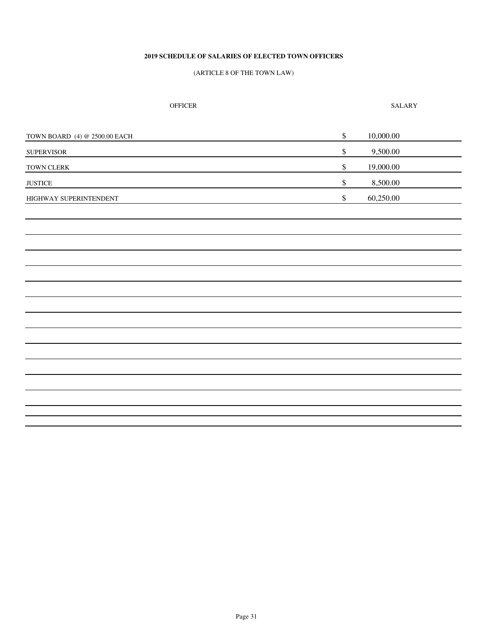#### **2019 SCHEDULE OF SALARIES OF ELECTED TOWN OFFICERS**

#### (ARTICLE 8 OF THE TOWN LAW)

| OFFICER |
|---------|
|---------|

SALARY

| TOWN BOARD (4) @ 2500.00 EACH | \$            | 10,000.00 |
|-------------------------------|---------------|-----------|
| <b>SUPERVISOR</b>             | \$            | 9,500.00  |
| TOWN CLERK                    | \$            | 19,000.00 |
| <b>JUSTICE</b>                | $\frac{1}{2}$ | 8,500.00  |
| HIGHWAY SUPERINTENDENT        | \$            | 60,250.00 |
|                               |               |           |
|                               |               |           |
|                               |               |           |
|                               |               |           |
|                               |               |           |
|                               |               |           |
|                               |               |           |